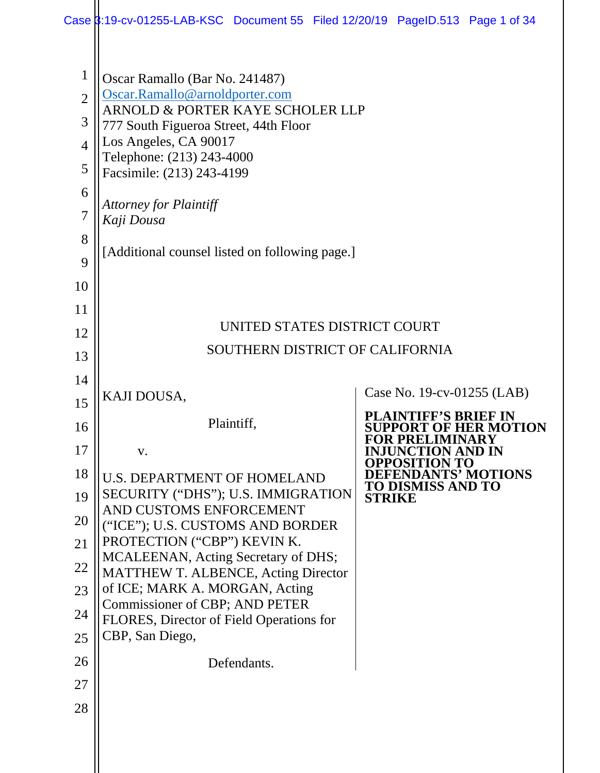|                                                                                             | Case 3:19-cv-01255-LAB-KSC Document 55 Filed 12/20/19 PageID.513 Page 1 of 34                                                                                                                                                                                                                                                     |                                                             |
|---------------------------------------------------------------------------------------------|-----------------------------------------------------------------------------------------------------------------------------------------------------------------------------------------------------------------------------------------------------------------------------------------------------------------------------------|-------------------------------------------------------------|
| $\mathbf{1}$<br>$\overline{2}$<br>3<br>$\overline{4}$<br>5<br>6<br>$\overline{7}$<br>8<br>9 | Oscar Ramallo (Bar No. 241487)<br>Oscar.Ramallo@arnoldporter.com<br>ARNOLD & PORTER KAYE SCHOLER LLP<br>777 South Figueroa Street, 44th Floor<br>Los Angeles, CA 90017<br>Telephone: (213) 243-4000<br>Facsimile: (213) 243-4199<br><b>Attorney for Plaintiff</b><br>Kaji Dousa<br>[Additional counsel listed on following page.] |                                                             |
| 10                                                                                          |                                                                                                                                                                                                                                                                                                                                   |                                                             |
| 11                                                                                          |                                                                                                                                                                                                                                                                                                                                   |                                                             |
| 12                                                                                          | UNITED STATES DISTRICT COURT                                                                                                                                                                                                                                                                                                      |                                                             |
| 13                                                                                          | SOUTHERN DISTRICT OF CALIFORNIA                                                                                                                                                                                                                                                                                                   |                                                             |
| 14                                                                                          |                                                                                                                                                                                                                                                                                                                                   |                                                             |
| 15                                                                                          | KAJI DOUSA,                                                                                                                                                                                                                                                                                                                       | Case No. 19-cv-01255 (LAB)                                  |
| 16                                                                                          | Plaintiff,                                                                                                                                                                                                                                                                                                                        | <b>PLAINTIFF'S BRIEF IN</b><br><b>SUPPORT OF HER MOTION</b> |
| 17                                                                                          | V.                                                                                                                                                                                                                                                                                                                                | <b>FOR PRELIMINARY</b><br><b>INJUNCTION AND IN</b>          |
| 18                                                                                          | <b>U.S. DEPARTMENT OF HOMELAND</b>                                                                                                                                                                                                                                                                                                | <b>OPPOSITION TO</b><br><b>DEFENDANTS' MOTIONS</b>          |
| 19                                                                                          | <b>SECURITY ("DHS"); U.S. IMMIGRATION</b><br>AND CUSTOMS ENFORCEMENT                                                                                                                                                                                                                                                              | TO DISMISS AND TO<br><b>STRIKE</b>                          |
| 20                                                                                          | ("ICE"); U.S. CUSTOMS AND BORDER                                                                                                                                                                                                                                                                                                  |                                                             |
| 21                                                                                          | PROTECTION ("CBP") KEVIN K.                                                                                                                                                                                                                                                                                                       |                                                             |
| 22                                                                                          | MCALEENAN, Acting Secretary of DHS;<br><b>MATTHEW T. ALBENCE, Acting Director</b>                                                                                                                                                                                                                                                 |                                                             |
|                                                                                             |                                                                                                                                                                                                                                                                                                                                   |                                                             |
| 23                                                                                          | of ICE; MARK A. MORGAN, Acting                                                                                                                                                                                                                                                                                                    |                                                             |
| 24                                                                                          | Commissioner of CBP; AND PETER<br>FLORES, Director of Field Operations for                                                                                                                                                                                                                                                        |                                                             |
| 25                                                                                          | CBP, San Diego,                                                                                                                                                                                                                                                                                                                   |                                                             |
| 26                                                                                          | Defendants.                                                                                                                                                                                                                                                                                                                       |                                                             |
| 27                                                                                          |                                                                                                                                                                                                                                                                                                                                   |                                                             |
| 28                                                                                          |                                                                                                                                                                                                                                                                                                                                   |                                                             |
|                                                                                             |                                                                                                                                                                                                                                                                                                                                   |                                                             |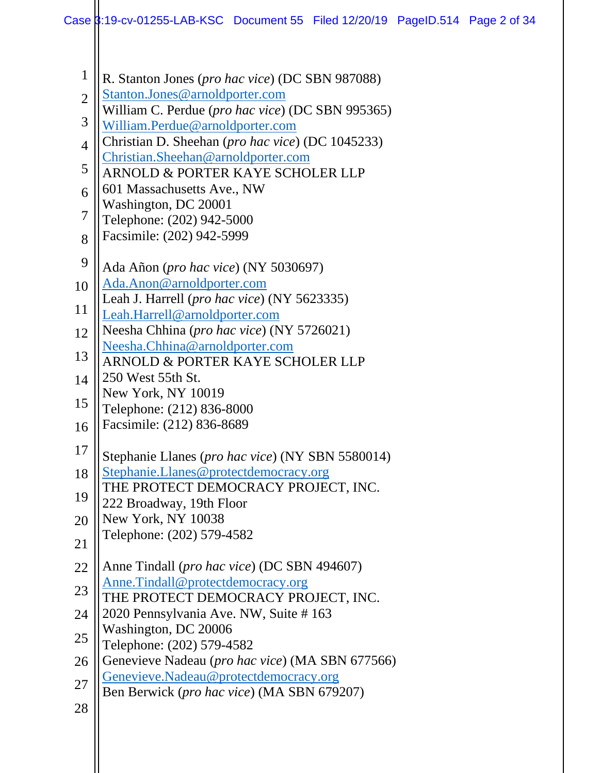- 1 R. Stanton Jones (*pro hac vice*) (DC SBN 987088)
- 2 [Stanton.Jones@arnoldporter.com](mailto:Stanton.Jones@arnoldporter.com)
- William C. Perdue (*pro hac vice*) (DC SBN 995365)
- 3 [William.Perdue@arnoldporter.com](mailto:William.Perdue@arnoldporter.com)
- 4 Christian D. Sheehan (*pro hac vice*) (DC 1045233) [Christian.Sheehan@arnoldporter.com](mailto:Christian.Sheehan@arnoldporter.com)
- 5 ARNOLD & PORTER KAYE SCHOLER LLP
- 6 601 Massachusetts Ave., NW
- Washington, DC 20001
- 7 Telephone: (202) 942-5000
- 8 Facsimile: (202) 942-5999
- 9 Ada Añon (*pro hac vice*) (NY 5030697)
- 10 [Ada.Anon@arnoldporter.com](mailto:Ada.Anon@arnoldporter.com)
- Leah J. Harrell (*pro hac vice*) (NY 5623335)
- 11 [Leah.Harrell@arnoldporter.com](mailto:Leah.Harrell@arnoldporter.com)
- 12 Neesha Chhina (*pro hac vice*) (NY 5726021) [Neesha.Chhina@arnoldporter.com](mailto:Neesha.Chhina@arnoldporter.com)
- 13 14 ARNOLD & PORTER KAYE SCHOLER LLP 250 West 55th St.
- New York, NY 10019
- 15 Telephone: (212) 836-8000
- 16 Facsimile: (212) 836-8689
- 17 Stephanie Llanes (*pro hac vice*) (NY SBN 5580014)
- 18 [Stephanie.Llanes@protectdemocracy.org](mailto:Stephanie.Llanes@protectdemocracy.org)
- 19 THE PROTECT DEMOCRACY PROJECT, INC.
- 222 Broadway, 19th Floor
- 20 New York, NY 10038
- 21 Telephone: (202) 579-4582
- 22 Anne Tindall (*pro hac vice*) (DC SBN 494607)
- 23 [Anne.Tindall@protectdemocracy.org](mailto:Anne.Tindall@protectdemocracy.org)
- THE PROTECT DEMOCRACY PROJECT, INC.
- 24 2020 Pennsylvania Ave. NW, Suite # 163 Washington, DC 20006
- 25 Telephone: (202) 579-4582
- 26 Genevieve Nadeau (*pro hac vice*) (MA SBN 677566)
- 27 [Genevieve.Nadeau@protectdemocracy.org](mailto:Genevieve.Nadeau@protectdemocracy.org)
- Ben Berwick (*pro hac vice*) (MA SBN 679207)
- 28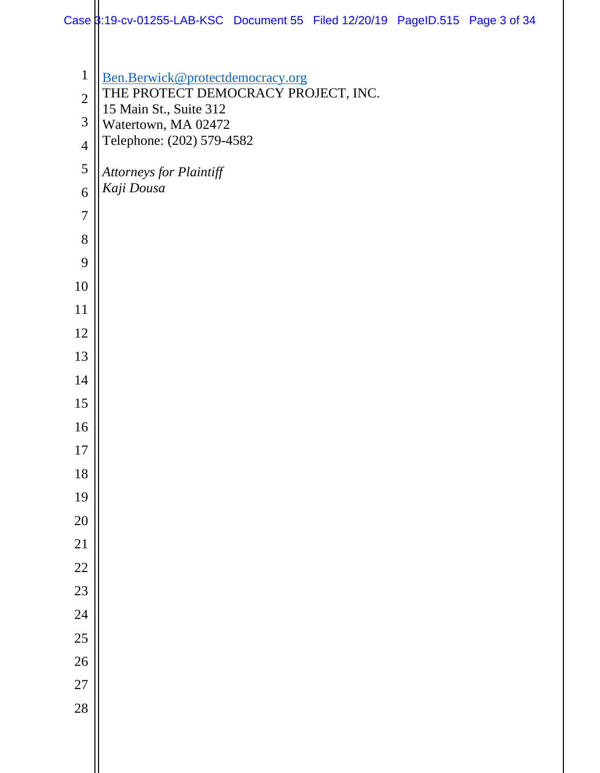|                | Case 3:19-cv-01255-LAB-KSC Document 55 Filed 12/20/19 PageID.515 Page 3 of 34 |  |  |
|----------------|-------------------------------------------------------------------------------|--|--|
|                |                                                                               |  |  |
| $\mathbf{1}$   | Ben.Berwick@protectdemocracy.org                                              |  |  |
| $\overline{2}$ | THE PROTECT DEMOCRACY PROJECT, INC.                                           |  |  |
| 3              | 15 Main St., Suite 312<br>Watertown, MA 02472                                 |  |  |
| $\overline{4}$ | Telephone: (202) 579-4582                                                     |  |  |
| $\mathfrak s$  | Attorneys for Plaintiff                                                       |  |  |
| 6              | Kaji Dousa                                                                    |  |  |
| $\overline{7}$ |                                                                               |  |  |
| 8              |                                                                               |  |  |
| 9              |                                                                               |  |  |
| 10             |                                                                               |  |  |
| 11             |                                                                               |  |  |
| 12             |                                                                               |  |  |
| 13             |                                                                               |  |  |
| 14             |                                                                               |  |  |
| 15             |                                                                               |  |  |
| 16             |                                                                               |  |  |
| 17             |                                                                               |  |  |
| 18             |                                                                               |  |  |
| 19             |                                                                               |  |  |
| 20             |                                                                               |  |  |
| 21             |                                                                               |  |  |
| 22             |                                                                               |  |  |
| 23             |                                                                               |  |  |
| 24             |                                                                               |  |  |
| 25             |                                                                               |  |  |
| 26             |                                                                               |  |  |
| 27             |                                                                               |  |  |
| 28             |                                                                               |  |  |
|                |                                                                               |  |  |
|                |                                                                               |  |  |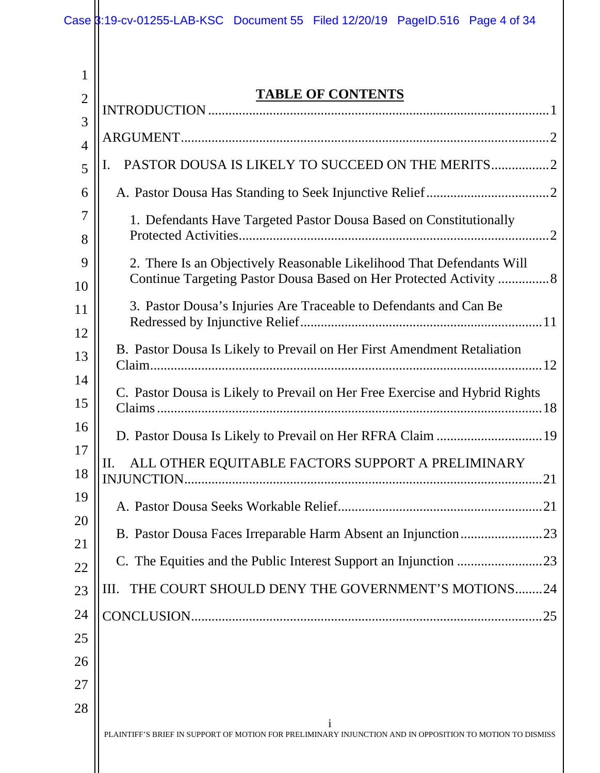|                     | Case 3:19-cv-01255-LAB-KSC Document 55 Filed 12/20/19 PageID.516 Page 4 of 34                                                               |
|---------------------|---------------------------------------------------------------------------------------------------------------------------------------------|
|                     |                                                                                                                                             |
| $\mathbf{1}$        | <b>TABLE OF CONTENTS</b>                                                                                                                    |
| $\overline{2}$      |                                                                                                                                             |
| 3<br>$\overline{4}$ |                                                                                                                                             |
| 5                   | PASTOR DOUSA IS LIKELY TO SUCCEED ON THE MERITS2<br>I.                                                                                      |
| 6                   |                                                                                                                                             |
| 7<br>8              | 1. Defendants Have Targeted Pastor Dousa Based on Constitutionally                                                                          |
| 9<br>10             | 2. There Is an Objectively Reasonable Likelihood That Defendants Will<br>Continue Targeting Pastor Dousa Based on Her Protected Activity  8 |
| 11<br>12            | 3. Pastor Dousa's Injuries Are Traceable to Defendants and Can Be                                                                           |
| 13<br>14            | B. Pastor Dousa Is Likely to Prevail on Her First Amendment Retaliation                                                                     |
| 15                  | C. Pastor Dousa is Likely to Prevail on Her Free Exercise and Hybrid Rights                                                                 |
| 16                  |                                                                                                                                             |
| 17<br>18            | ALL OTHER EQUITABLE FACTORS SUPPORT A PRELIMINARY<br>П.<br><b>INJUNCTION</b>                                                                |
| 19                  |                                                                                                                                             |
| 20                  | B. Pastor Dousa Faces Irreparable Harm Absent an Injunction23                                                                               |
| 21<br>22            |                                                                                                                                             |
| 23                  | THE COURT SHOULD DENY THE GOVERNMENT'S MOTIONS24<br>Ш.                                                                                      |
| 24                  | 25                                                                                                                                          |
| 25                  |                                                                                                                                             |
| 26                  |                                                                                                                                             |
| 27                  |                                                                                                                                             |
| 28                  |                                                                                                                                             |
|                     | PLAINTIFF'S BRIEF IN SUPPORT OF MOTION FOR PRELIMINARY INJUNCTION AND IN OPPOSITION TO MOTION TO DISMISS                                    |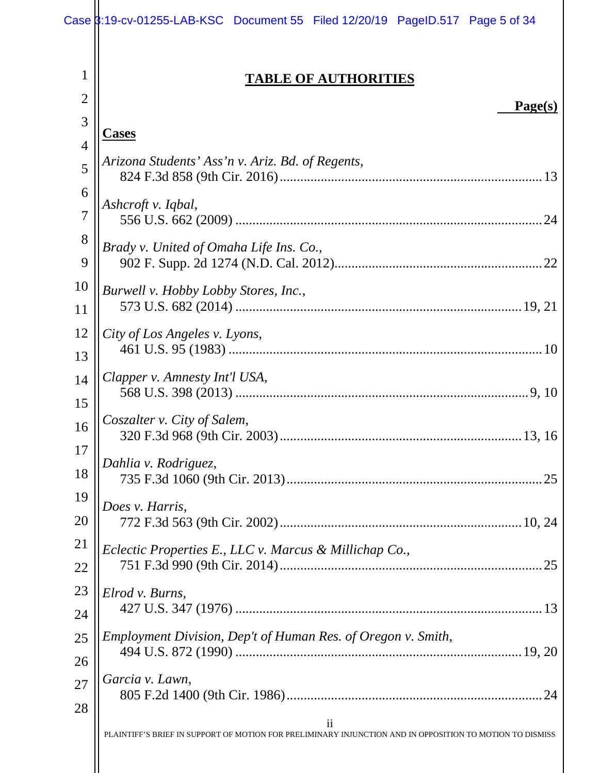|                     | Case 3:19-cv-01255-LAB-KSC Document 55 Filed 12/20/19 PageID.517 Page 5 of 34                                                        |
|---------------------|--------------------------------------------------------------------------------------------------------------------------------------|
| 1<br>$\overline{2}$ | <b>TABLE OF AUTHORITIES</b>                                                                                                          |
| 3                   | Page(s)                                                                                                                              |
| $\overline{4}$      | <b>Cases</b>                                                                                                                         |
| 5                   | Arizona Students' Ass'n v. Ariz. Bd. of Regents,                                                                                     |
| 6                   |                                                                                                                                      |
| $\overline{7}$      | Ashcroft v. Iqbal,                                                                                                                   |
| 8                   | Brady v. United of Omaha Life Ins. Co.,                                                                                              |
| 9                   |                                                                                                                                      |
| 10                  | Burwell v. Hobby Lobby Stores, Inc.,                                                                                                 |
| 11                  |                                                                                                                                      |
| 12                  | City of Los Angeles v. Lyons,                                                                                                        |
| 13                  |                                                                                                                                      |
| 14                  | Clapper v. Amnesty Int'l USA,                                                                                                        |
| 15                  |                                                                                                                                      |
| 16<br>17            | Coszalter v. City of Salem,<br>320 F.3d 968 (9th Cir. 2003)<br>13, 16                                                                |
| 18                  | Dahlia v. Rodriguez,                                                                                                                 |
| 19                  | Does v. Harris,                                                                                                                      |
| 20                  |                                                                                                                                      |
| 21                  | Eclectic Properties E., LLC v. Marcus & Millichap Co.,                                                                               |
| 22                  |                                                                                                                                      |
| 23                  | Elrod v. Burns,                                                                                                                      |
| 24                  |                                                                                                                                      |
| 25                  | Employment Division, Dep't of Human Res. of Oregon v. Smith,                                                                         |
| 26                  |                                                                                                                                      |
| 27                  | Garcia v. Lawn,                                                                                                                      |
| 28                  |                                                                                                                                      |
|                     | $\overline{\mathbf{ii}}$<br>PLAINTIFF'S BRIEF IN SUPPORT OF MOTION FOR PRELIMINARY INJUNCTION AND IN OPPOSITION TO MOTION TO DISMISS |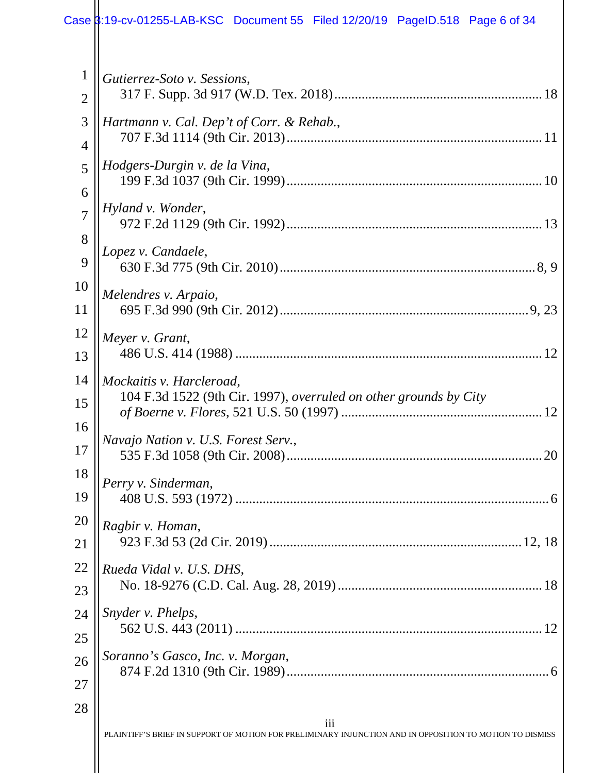#### 1 2 3 4 5 6 7 8 9 10 11 12 13 14 15 16 17 18 19 20 21 22 23 24 25 26 27 *Gutierrez-Soto v. Sessions*, 317 F. Supp. 3d 917 (W.D. Tex. 2018) ............................................................[. 18](#page-24-2) *Hartmann v. Cal. Dep't of Corr. & Rehab.*, 707 F.3d 1114 (9th Cir. 2013) ..........................................................................[. 11](#page-17-1) *Hodgers-Durgin v. de la Vina*, 199 F.3d 1037 (9th Cir. 1999) ..........................................................................[. 10](#page-16-2) *Hyland v. Wonder*, 972 F.2d 1129 (9th Cir. 1992) ..........................................................................[. 13](#page-19-2) *Lopez v. Candaele*, 630 F.3d 775 (9th Cir. 2010) ..........................................................................[. 8,](#page-14-1) [9](#page-15-2) *Melendres v. Arpaio*, 695 F.3d 990 (9th Cir. 2012) ......................................................................... 9, [23](#page-29-3) *Meyer v. Grant*, 486 U.S. 414 (1988) .........................................................................................[. 12](#page-18-2) *Mockaitis v. Harcleroad*, 104 F.3d 1522 (9th Cir. 1997), *overruled on other grounds by City of Boerne v. Flores*, 521 U.S. 50 (1997) ..........................................................[. 12](#page-18-3) *Navajo Nation v. U.S. Forest Serv.*, 535 F.3d 1058 (9th Cir. 2008) ..........................................................................[. 20](#page-26-1) *Perry v. Sinderman*, 408 U.S. 593 (1972) ...........................................................................................[. 6](#page-12-0) *Ragbir v. Homan*, 923 F.3d 53 (2d Cir. 2019) .......................................................................... 12, [18](#page-23-0) *Rueda Vidal v. U.S. DHS*, No. 18-9276 (C.D. Cal. Aug. 28, 2019) ...........................................................[. 18](#page-24-3) *Snyder v. Phelps*, 562 U.S. 443 (2011) .........................................................................................[. 12](#page-18-4) *Soranno's Gasco, Inc. v. Morgan*, 874 F.2d 1310 (9th Cir. 1989) ............................................................................[. 6](#page-12-1) Case 3:19-cv-01255-LAB-KSC Document 55 Filed 12/20/19 PageID.518 Page 6 of 34

28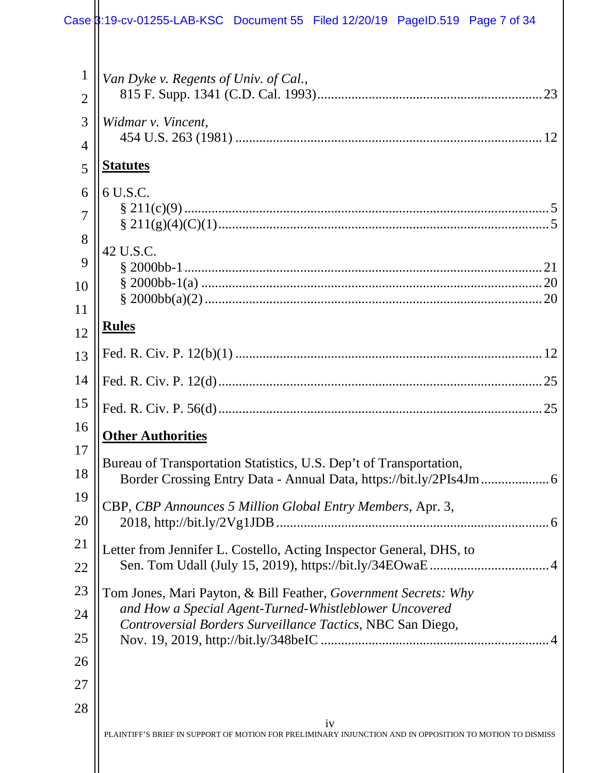|                               | Case 3:19-cv-01255-LAB-KSC Document 55 Filed 12/20/19 PageID.519 Page 7 of 34                                             |
|-------------------------------|---------------------------------------------------------------------------------------------------------------------------|
| $\mathbf 1$<br>$\overline{2}$ | Van Dyke v. Regents of Univ. of Cal.,<br>23                                                                               |
| 3<br>4                        | Widmar v. Vincent,                                                                                                        |
| 5                             | <b>Statutes</b>                                                                                                           |
| 6<br>7                        | 6 U.S.C.                                                                                                                  |
| 8<br>9                        | 42 U.S.C.                                                                                                                 |
| 10<br>11                      |                                                                                                                           |
| 12                            | <b>Rules</b>                                                                                                              |
| 13                            |                                                                                                                           |
| 14                            |                                                                                                                           |
| 15                            | .25                                                                                                                       |
| 16                            | <b>Other Authorities</b>                                                                                                  |
| 17<br>18                      | Bureau of Transportation Statistics, U.S. Dep't of Transportation,                                                        |
| 19<br>20                      | CBP, CBP Announces 5 Million Global Entry Members, Apr. 3,                                                                |
| 21                            | Letter from Jennifer L. Costello, Acting Inspector General, DHS, to                                                       |
| 22                            |                                                                                                                           |
| 23                            | Tom Jones, Mari Payton, & Bill Feather, Government Secrets: Why<br>and How a Special Agent-Turned-Whistleblower Uncovered |
| 24<br>25                      | Controversial Borders Surveillance Tactics, NBC San Diego,                                                                |
| 26                            |                                                                                                                           |
| 27                            |                                                                                                                           |
| 28                            |                                                                                                                           |
|                               | iv<br>PLAINTIFF'S BRIEF IN SUPPORT OF MOTION FOR PRELIMINARY INJUNCTION AND IN OPPOSITION TO MOTION TO DISMISS            |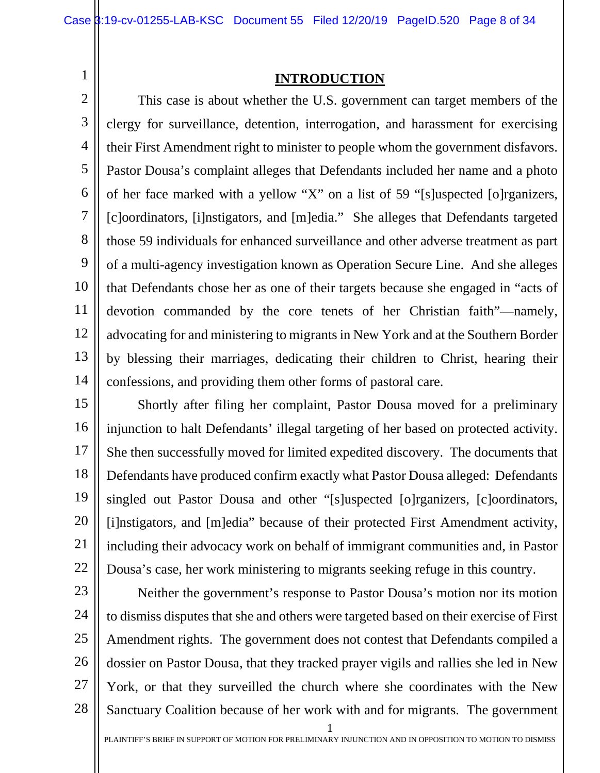<span id="page-7-0"></span>1

#### **INTRODUCTION**

2 3 4 5 6 7 8 9 10 11 12 13 14 This case is about whether the U.S. government can target members of the clergy for surveillance, detention, interrogation, and harassment for exercising their First Amendment right to minister to people whom the government disfavors. Pastor Dousa's complaint alleges that Defendants included her name and a photo of her face marked with a yellow "X" on a list of 59 "[s]uspected [o]rganizers, [c]oordinators, [i]nstigators, and [m]edia." She alleges that Defendants targeted those 59 individuals for enhanced surveillance and other adverse treatment as part of a multi-agency investigation known as Operation Secure Line. And she alleges that Defendants chose her as one of their targets because she engaged in "acts of devotion commanded by the core tenets of her Christian faith"—namely, advocating for and ministering to migrants in New York and at the Southern Border by blessing their marriages, dedicating their children to Christ, hearing their confessions, and providing them other forms of pastoral care.

15 16 17 18 19 20 21 22 Shortly after filing her complaint, Pastor Dousa moved for a preliminary injunction to halt Defendants' illegal targeting of her based on protected activity. She then successfully moved for limited expedited discovery. The documents that Defendants have produced confirm exactly what Pastor Dousa alleged: Defendants singled out Pastor Dousa and other "[s]uspected [o]rganizers, [c]oordinators, [i]nstigators, and [m]edia" because of their protected First Amendment activity, including their advocacy work on behalf of immigrant communities and, in Pastor Dousa's case, her work ministering to migrants seeking refuge in this country.

1 23 24 25 26 27 28 Neither the government's response to Pastor Dousa's motion nor its motion to dismiss disputes that she and others were targeted based on their exercise of First Amendment rights. The government does not contest that Defendants compiled a dossier on Pastor Dousa, that they tracked prayer vigils and rallies she led in New York, or that they surveilled the church where she coordinates with the New Sanctuary Coalition because of her work with and for migrants. The government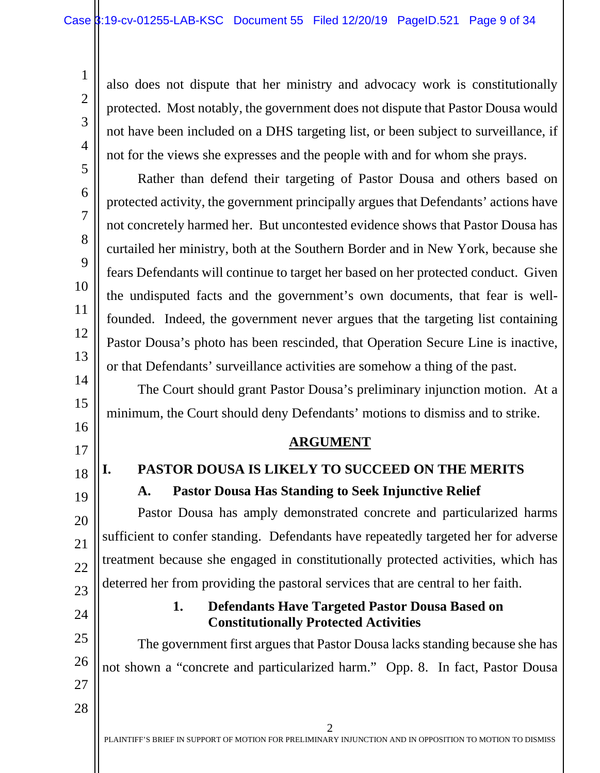also does not dispute that her ministry and advocacy work is constitutionally protected. Most notably, the government does not dispute that Pastor Dousa would not have been included on a DHS targeting list, or been subject to surveillance, if not for the views she expresses and the people with and for whom she prays.

Rather than defend their targeting of Pastor Dousa and others based on protected activity, the government principally argues that Defendants' actions have not concretely harmed her. But uncontested evidence shows that Pastor Dousa has curtailed her ministry, both at the Southern Border and in New York, because she fears Defendants will continue to target her based on her protected conduct. Given the undisputed facts and the government's own documents, that fear is wellfounded. Indeed, the government never argues that the targeting list containing Pastor Dousa's photo has been rescinded, that Operation Secure Line is inactive, or that Defendants' surveillance activities are somehow a thing of the past.

The Court should grant Pastor Dousa's preliminary injunction motion. At a minimum, the Court should deny Defendants' motions to dismiss and to strike.

#### **ARGUMENT**

# <span id="page-8-2"></span><span id="page-8-1"></span>**I. PASTOR DOUSA IS LIKELY TO SUCCEED ON THE MERITS A. Pastor Dousa Has Standing to Seek Injunctive Relief**

20 21 22 23 Pastor Dousa has amply demonstrated concrete and particularized harms sufficient to confer standing. Defendants have repeatedly targeted her for adverse treatment because she engaged in constitutionally protected activities, which has deterred her from providing the pastoral services that are central to her faith.

# <span id="page-8-3"></span>24

1

2

3

4

5

6

7

8

9

10

11

12

13

14

15

<span id="page-8-0"></span>16

17

18

19

#### **1. Defendants Have Targeted Pastor Dousa Based on Constitutionally Protected Activities**

25 26 The government first argues that Pastor Dousa lacks standing because she has not shown a "concrete and particularized harm." Opp. 8. In fact, Pastor Dousa

- 27
- 28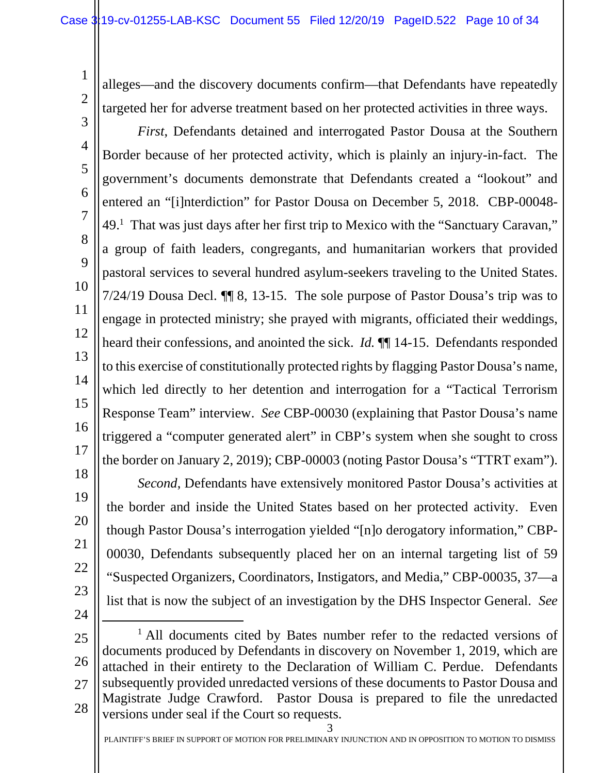alleges—and the discovery documents confirm—that Defendants have repeatedly targeted her for adverse treatment based on her protected activities in three ways.

3 4 5 6 7 8 9 10 11 12 13 14 15 16 17 18 *First*, Defendants detained and interrogated Pastor Dousa at the Southern Border because of her protected activity, which is plainly an injury-in-fact. The government's documents demonstrate that Defendants created a "lookout" and entered an "[i]nterdiction" for Pastor Dousa on December 5, 2018. CBP-00048- 49.<sup>1</sup> That was just days after her first trip to Mexico with the "Sanctuary Caravan," a group of faith leaders, congregants, and humanitarian workers that provided pastoral services to several hundred asylum-seekers traveling to the United States. 7/24/19 Dousa Decl. ¶¶ 8, 13-15. The sole purpose of Pastor Dousa's trip was to engage in protected ministry; she prayed with migrants, officiated their weddings, heard their confessions, and anointed the sick. *Id.* ¶¶ 14-15. Defendants responded to this exercise of constitutionally protected rights by flagging Pastor Dousa's name, which led directly to her detention and interrogation for a "Tactical Terrorism Response Team" interview. *See* CBP-00030 (explaining that Pastor Dousa's name triggered a "computer generated alert" in CBP's system when she sought to cross the border on January 2, 2019); CBP-00003 (noting Pastor Dousa's "TTRT exam").

*Second*, Defendants have extensively monitored Pastor Dousa's activities at the border and inside the United States based on her protected activity. Even though Pastor Dousa's interrogation yielded "[n]o derogatory information," CBP-00030, Defendants subsequently placed her on an internal targeting list of 59 "Suspected Organizers, Coordinators, Instigators, and Media," CBP-00035, 37—a list that is now the subject of an investigation by the DHS Inspector General. *See*

24

19

20

21

22

23

1

<sup>25</sup> 26 27 28 <sup>1</sup> All documents cited by Bates number refer to the redacted versions of documents produced by Defendants in discovery on November 1, 2019, which are attached in their entirety to the Declaration of William C. Perdue. Defendants subsequently provided unredacted versions of these documents to Pastor Dousa and Magistrate Judge Crawford. Pastor Dousa is prepared to file the unredacted versions under seal if the Court so requests.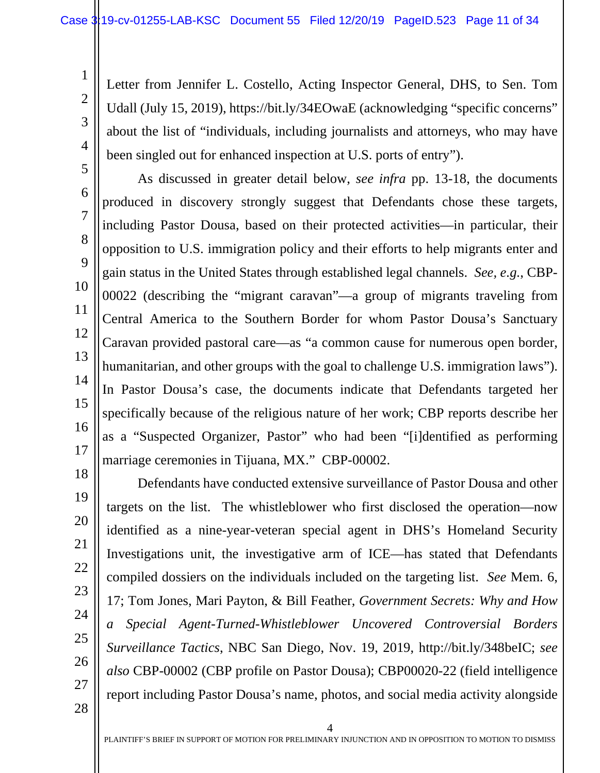<span id="page-10-0"></span>Letter from Jennifer L. Costello, Acting Inspector General, DHS, to Sen. Tom Udall (July 15, 2019), https://bit.ly/34EOwaE (acknowledging "specific concerns" about the list of "individuals, including journalists and attorneys, who may have been singled out for enhanced inspection at U.S. ports of entry").

As discussed in greater detail below, *see infra* pp. 13-18, the documents produced in discovery strongly suggest that Defendants chose these targets, including Pastor Dousa, based on their protected activities—in particular, their opposition to U.S. immigration policy and their efforts to help migrants enter and gain status in the United States through established legal channels. *See, e.g.*, CBP-00022 (describing the "migrant caravan"—a group of migrants traveling from Central America to the Southern Border for whom Pastor Dousa's Sanctuary Caravan provided pastoral care—as "a common cause for numerous open border, humanitarian, and other groups with the goal to challenge U.S. immigration laws"). In Pastor Dousa's case, the documents indicate that Defendants targeted her specifically because of the religious nature of her work; CBP reports describe her as a "Suspected Organizer, Pastor" who had been "[i]dentified as performing marriage ceremonies in Tijuana, MX." CBP-00002.

28

1

2

3

4

5

6

7

8

9

10

11

12

13

14

15

16

17

<span id="page-10-1"></span>Defendants have conducted extensive surveillance of Pastor Dousa and other targets on the list. The whistleblower who first disclosed the operation—now identified as a nine-year-veteran special agent in DHS's Homeland Security Investigations unit, the investigative arm of ICE—has stated that Defendants compiled dossiers on the individuals included on the targeting list. *See* Mem. 6, 17; Tom Jones, Mari Payton, & Bill Feather*, Government Secrets: Why and How a Special Agent-Turned-Whistleblower Uncovered Controversial Borders Surveillance Tactics*, NBC San Diego, Nov. 19, 2019, http://bit.ly/348beIC; *see also* CBP-00002 (CBP profile on Pastor Dousa); CBP00020-22 (field intelligence report including Pastor Dousa's name, photos, and social media activity alongside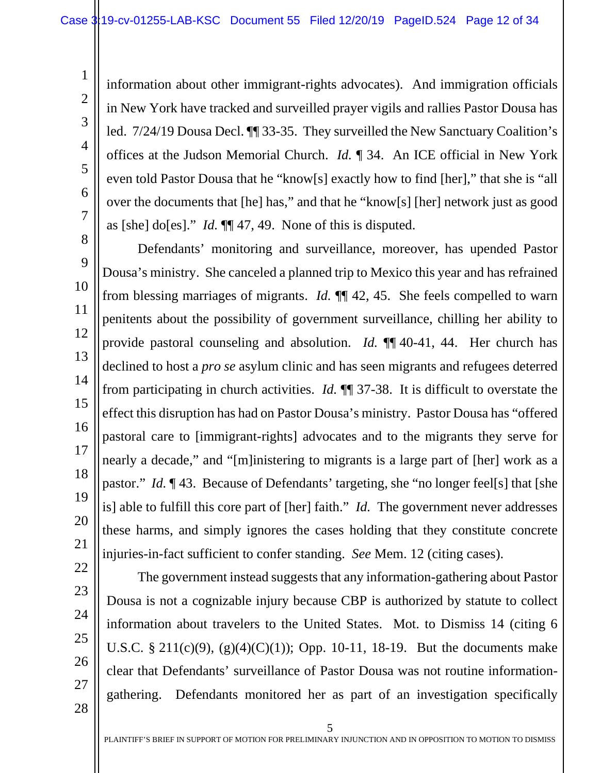information about other immigrant-rights advocates). And immigration officials in New York have tracked and surveilled prayer vigils and rallies Pastor Dousa has led. 7/24/19 Dousa Decl. ¶¶ 33-35. They surveilled the New Sanctuary Coalition's offices at the Judson Memorial Church. *Id.* ¶ 34. An ICE official in New York even told Pastor Dousa that he "know[s] exactly how to find [her]," that she is "all over the documents that [he] has," and that he "know[s] [her] network just as good as [she] do[es]." *Id.* ¶¶ 47, 49. None of this is disputed.

8 9 10 11 12 13 14 15 16 17 18 19 20 21 Defendants' monitoring and surveillance, moreover, has upended Pastor Dousa's ministry. She canceled a planned trip to Mexico this year and has refrained from blessing marriages of migrants. *Id.* ¶¶ 42, 45. She feels compelled to warn penitents about the possibility of government surveillance, chilling her ability to provide pastoral counseling and absolution. *Id.* ¶¶ 40-41, 44. Her church has declined to host a *pro se* asylum clinic and has seen migrants and refugees deterred from participating in church activities. *Id.* ¶¶ 37-38. It is difficult to overstate the effect this disruption has had on Pastor Dousa's ministry. Pastor Dousa has "offered pastoral care to [immigrant-rights] advocates and to the migrants they serve for nearly a decade," and "[m]inistering to migrants is a large part of [her] work as a pastor." *Id.* ¶ 43. Because of Defendants' targeting, she "no longer feel[s] that [she is] able to fulfill this core part of [her] faith." *Id.* The government never addresses these harms, and simply ignores the cases holding that they constitute concrete injuries-in-fact sufficient to confer standing. *See* Mem. 12 (citing cases).

22 23 24

25

26

27

28

1

2

3

4

5

6

7

<span id="page-11-1"></span><span id="page-11-0"></span>The government instead suggests that any information-gathering about Pastor Dousa is not a cognizable injury because CBP is authorized by statute to collect information about travelers to the United States. Mot. to Dismiss 14 (citing 6 U.S.C. § 211(c)(9), (g)(4)(C)(1)); Opp. 10-11, 18-19. But the documents make clear that Defendants' surveillance of Pastor Dousa was not routine informationgathering. Defendants monitored her as part of an investigation specifically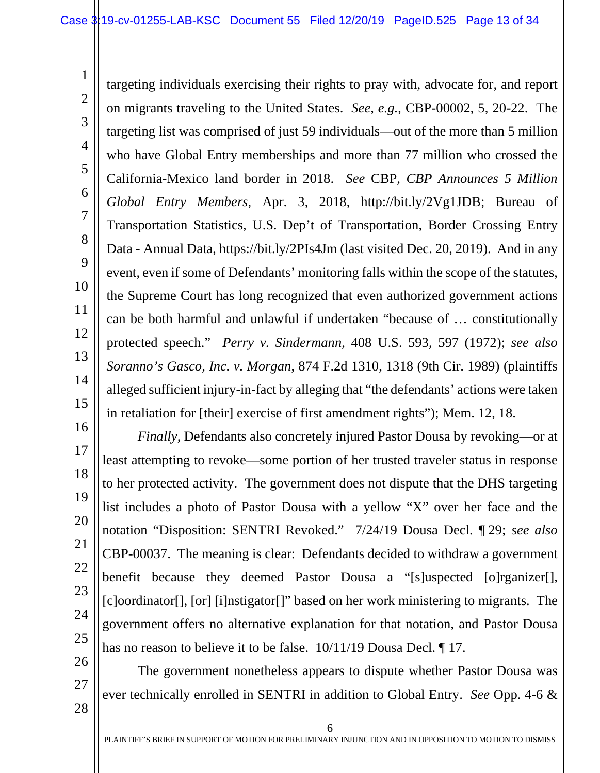<span id="page-12-2"></span>targeting individuals exercising their rights to pray with, advocate for, and report on migrants traveling to the United States. *See, e.g.*, CBP-00002, 5, 20-22. The targeting list was comprised of just 59 individuals—out of the more than 5 million who have Global Entry memberships and more than 77 million who crossed the California-Mexico land border in 2018. *See* CBP, *CBP Announces 5 Million Global Entry Members*, Apr. 3, 2018, http://bit.ly/2Vg1JDB; Bureau of Transportation Statistics, U.S. Dep't of Transportation, Border Crossing Entry Data - Annual Data, https://bit.ly/2PIs4Jm (last visited Dec. 20, 2019). And in any event, even if some of Defendants' monitoring falls within the scope of the statutes, the Supreme Court has long recognized that even authorized government actions can be both harmful and unlawful if undertaken "because of … constitutionally protected speech." *Perry v. Sindermann*, 408 U.S. 593, 597 (1972); *see also Soranno's Gasco, Inc. v. Morgan*, 874 F.2d 1310, 1318 (9th Cir. 1989) (plaintiffs alleged sufficient injury-in-fact by alleging that "the defendants' actions were taken in retaliation for [their] exercise of first amendment rights"); Mem. 12, 18.

16 17 18 19 20 21 22 23 24 25 *Finally*, Defendants also concretely injured Pastor Dousa by revoking—or at least attempting to revoke—some portion of her trusted traveler status in response to her protected activity. The government does not dispute that the DHS targeting list includes a photo of Pastor Dousa with a yellow "X" over her face and the notation "Disposition: SENTRI Revoked." 7/24/19 Dousa Decl. ¶ 29; *see also*  CBP-00037. The meaning is clear: Defendants decided to withdraw a government benefit because they deemed Pastor Dousa a "[s]uspected [o]rganizer[], [c]oordinator[], [or] [i]nstigator[]" based on her work ministering to migrants. The government offers no alternative explanation for that notation, and Pastor Dousa has no reason to believe it to be false. 10/11/19 Dousa Decl. ¶ 17.

The government nonetheless appears to dispute whether Pastor Dousa was ever technically enrolled in SENTRI in addition to Global Entry. *See* Opp. 4-6 &

28

26

27

1

2

3

4

5

6

7

8

9

10

11

<span id="page-12-0"></span>12

<span id="page-12-1"></span>13

14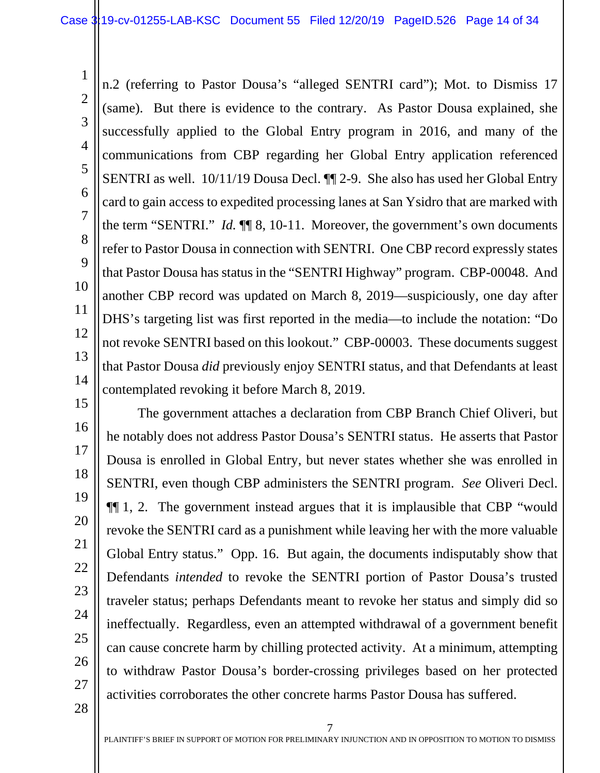1 2 3 4 5 6 7 8 9 10 11 12 13 14 n.2 (referring to Pastor Dousa's "alleged SENTRI card"); Mot. to Dismiss 17 (same). But there is evidence to the contrary. As Pastor Dousa explained, she successfully applied to the Global Entry program in 2016, and many of the communications from CBP regarding her Global Entry application referenced SENTRI as well. 10/11/19 Dousa Decl. ¶¶ 2-9. She also has used her Global Entry card to gain access to expedited processing lanes at San Ysidro that are marked with the term "SENTRI." *Id.* ¶¶ 8, 10-11. Moreover, the government's own documents refer to Pastor Dousa in connection with SENTRI. One CBP record expressly states that Pastor Dousa has status in the "SENTRI Highway" program. CBP-00048. And another CBP record was updated on March 8, 2019—suspiciously, one day after DHS's targeting list was first reported in the media—to include the notation: "Do not revoke SENTRI based on this lookout." CBP-00003. These documents suggest that Pastor Dousa *did* previously enjoy SENTRI status, and that Defendants at least contemplated revoking it before March 8, 2019.

15 16 17 18 19 20 21 22 23 24 25 26 27 The government attaches a declaration from CBP Branch Chief Oliveri, but he notably does not address Pastor Dousa's SENTRI status. He asserts that Pastor Dousa is enrolled in Global Entry, but never states whether she was enrolled in SENTRI, even though CBP administers the SENTRI program. *See* Oliveri Decl. ¶¶ 1, 2. The government instead argues that it is implausible that CBP "would revoke the SENTRI card as a punishment while leaving her with the more valuable Global Entry status." Opp. 16. But again, the documents indisputably show that Defendants *intended* to revoke the SENTRI portion of Pastor Dousa's trusted traveler status; perhaps Defendants meant to revoke her status and simply did so ineffectually. Regardless, even an attempted withdrawal of a government benefit can cause concrete harm by chilling protected activity. At a minimum, attempting to withdraw Pastor Dousa's border-crossing privileges based on her protected activities corroborates the other concrete harms Pastor Dousa has suffered.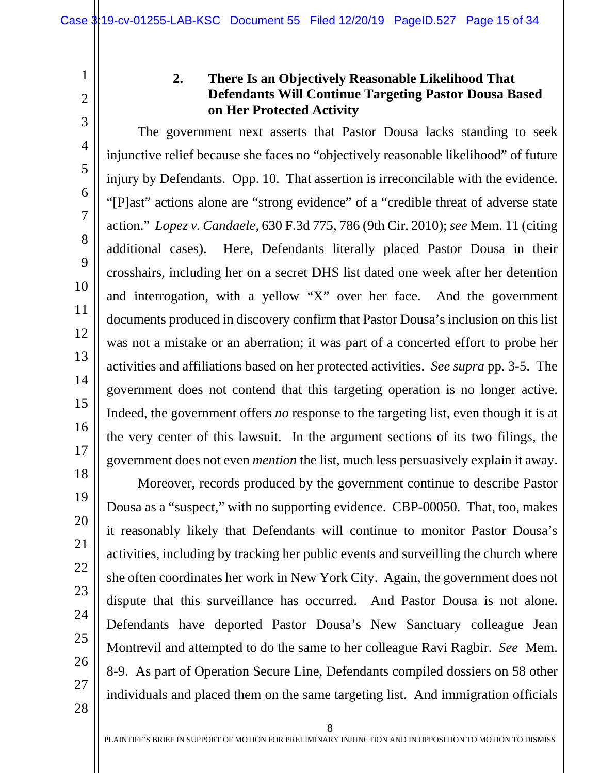4

5

6

<span id="page-14-1"></span>7

8

9

10

11

12

13

14

15

16

17

<span id="page-14-0"></span>1

### **2. There Is an Objectively Reasonable Likelihood That Defendants Will Continue Targeting Pastor Dousa Based on Her Protected Activity**

The government next asserts that Pastor Dousa lacks standing to seek injunctive relief because she faces no "objectively reasonable likelihood" of future injury by Defendants. Opp. 10. That assertion is irreconcilable with the evidence. "[P]ast" actions alone are "strong evidence" of a "credible threat of adverse state action." *Lopez v. Candaele*, 630 F.3d 775, 786 (9th Cir. 2010); *see* Mem. 11 (citing additional cases). Here, Defendants literally placed Pastor Dousa in their crosshairs, including her on a secret DHS list dated one week after her detention and interrogation, with a yellow "X" over her face. And the government documents produced in discovery confirm that Pastor Dousa's inclusion on this list was not a mistake or an aberration; it was part of a concerted effort to probe her activities and affiliations based on her protected activities. *See supra* pp. 3-5. The government does not contend that this targeting operation is no longer active. Indeed, the government offers *no* response to the targeting list, even though it is at the very center of this lawsuit. In the argument sections of its two filings, the government does not even *mention* the list, much less persuasively explain it away.

28

Moreover, records produced by the government continue to describe Pastor Dousa as a "suspect," with no supporting evidence. CBP-00050. That, too, makes it reasonably likely that Defendants will continue to monitor Pastor Dousa's activities, including by tracking her public events and surveilling the church where she often coordinates her work in New York City. Again, the government does not dispute that this surveillance has occurred. And Pastor Dousa is not alone. Defendants have deported Pastor Dousa's New Sanctuary colleague Jean Montrevil and attempted to do the same to her colleague Ravi Ragbir. *See* Mem. 8-9. As part of Operation Secure Line, Defendants compiled dossiers on 58 other individuals and placed them on the same targeting list. And immigration officials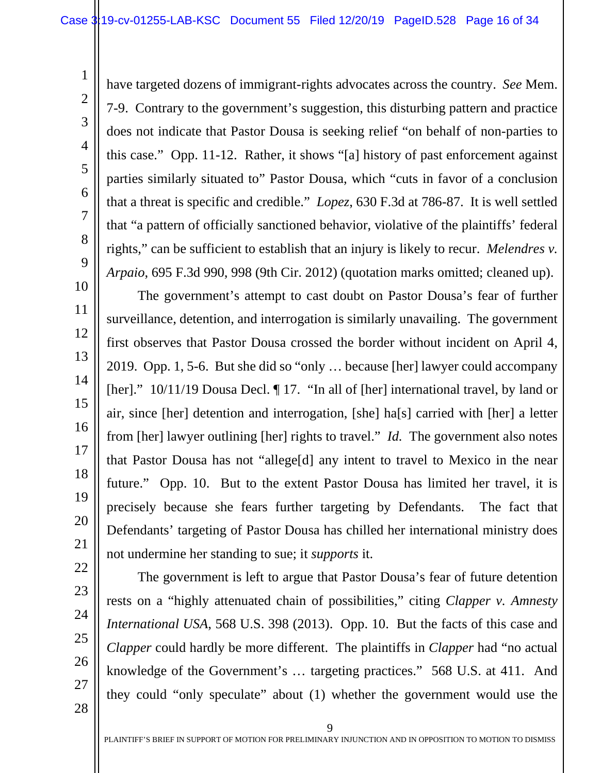have targeted dozens of immigrant-rights advocates across the country. *See* Mem. 7-9. Contrary to the government's suggestion, this disturbing pattern and practice does not indicate that Pastor Dousa is seeking relief "on behalf of non-parties to this case." Opp. 11-12. Rather, it shows "[a] history of past enforcement against parties similarly situated to" Pastor Dousa, which "cuts in favor of a conclusion that a threat is specific and credible." *Lopez*, 630 F.3d at 786-87. It is well settled that "a pattern of officially sanctioned behavior, violative of the plaintiffs' federal rights," can be sufficient to establish that an injury is likely to recur. *Melendres v. Arpaio*, 695 F.3d 990, 998 (9th Cir. 2012) (quotation marks omitted; cleaned up).

The government's attempt to cast doubt on Pastor Dousa's fear of further surveillance, detention, and interrogation is similarly unavailing. The government first observes that Pastor Dousa crossed the border without incident on April 4, 2019. Opp. 1, 5-6. But she did so "only … because [her] lawyer could accompany [her]." 10/11/19 Dousa Decl. If 17. "In all of [her] international travel, by land or air, since [her] detention and interrogation, [she] ha[s] carried with [her] a letter from [her] lawyer outlining [her] rights to travel." *Id.* The government also notes that Pastor Dousa has not "allege[d] any intent to travel to Mexico in the near future." Opp. 10. But to the extent Pastor Dousa has limited her travel, it is precisely because she fears further targeting by Defendants. The fact that Defendants' targeting of Pastor Dousa has chilled her international ministry does not undermine her standing to sue; it *supports* it.

1

2

3

4

5

<span id="page-15-2"></span>6

7

8

9

10

11

12

13

14

15

16

17

18

19

20

21

22

<span id="page-15-1"></span><span id="page-15-0"></span>The government is left to argue that Pastor Dousa's fear of future detention rests on a "highly attenuated chain of possibilities," citing *Clapper v. Amnesty International USA*, 568 U.S. 398 (2013). Opp. 10. But the facts of this case and *Clapper* could hardly be more different. The plaintiffs in *Clapper* had "no actual knowledge of the Government's … targeting practices." 568 U.S. at 411. And they could "only speculate" about (1) whether the government would use the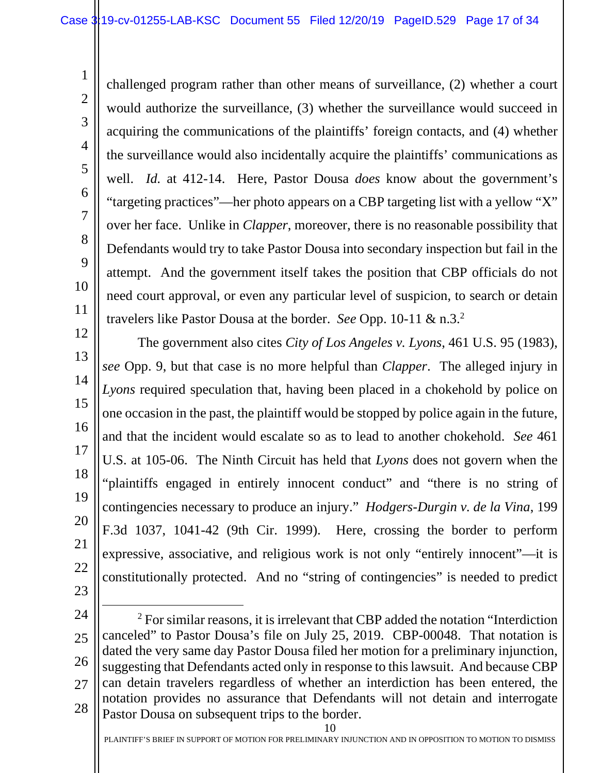<span id="page-16-1"></span>challenged program rather than other means of surveillance, (2) whether a court would authorize the surveillance, (3) whether the surveillance would succeed in acquiring the communications of the plaintiffs' foreign contacts, and (4) whether the surveillance would also incidentally acquire the plaintiffs' communications as well. *Id.* at 412-14. Here, Pastor Dousa *does* know about the government's "targeting practices"—her photo appears on a CBP targeting list with a yellow "X" over her face. Unlike in *Clapper*, moreover, there is no reasonable possibility that Defendants would try to take Pastor Dousa into secondary inspection but fail in the attempt. And the government itself takes the position that CBP officials do not need court approval, or even any particular level of suspicion, to search or detain travelers like Pastor Dousa at the border. *See* Opp. 10-11 & n.3.<sup>2</sup>

<span id="page-16-0"></span>12 13 14 15 16 17 18 19 20 21 22 23 The government also cites *City of Los Angeles v. Lyons*, 461 U.S. 95 (1983), *see* Opp. 9, but that case is no more helpful than *Clapper*. The alleged injury in *Lyons* required speculation that, having been placed in a chokehold by police on one occasion in the past, the plaintiff would be stopped by police again in the future, and that the incident would escalate so as to lead to another chokehold. *See* 461 U.S. at 105-06. The Ninth Circuit has held that *Lyons* does not govern when the "plaintiffs engaged in entirely innocent conduct" and "there is no string of contingencies necessary to produce an injury." *Hodgers-Durgin v. de la Vina*, 199 F.3d 1037, 1041-42 (9th Cir. 1999). Here, crossing the border to perform expressive, associative, and religious work is not only "entirely innocent"—it is constitutionally protected. And no "string of contingencies" is needed to predict

<span id="page-16-2"></span>24

1

2

3

4

5

6

7

8

9

10

11

25 26 27 28 <sup>2</sup> For similar reasons, it is irrelevant that CBP added the notation "Interdiction" canceled" to Pastor Dousa's file on July 25, 2019. CBP-00048. That notation is dated the very same day Pastor Dousa filed her motion for a preliminary injunction, suggesting that Defendants acted only in response to this lawsuit. And because CBP can detain travelers regardless of whether an interdiction has been entered, the notation provides no assurance that Defendants will not detain and interrogate Pastor Dousa on subsequent trips to the border.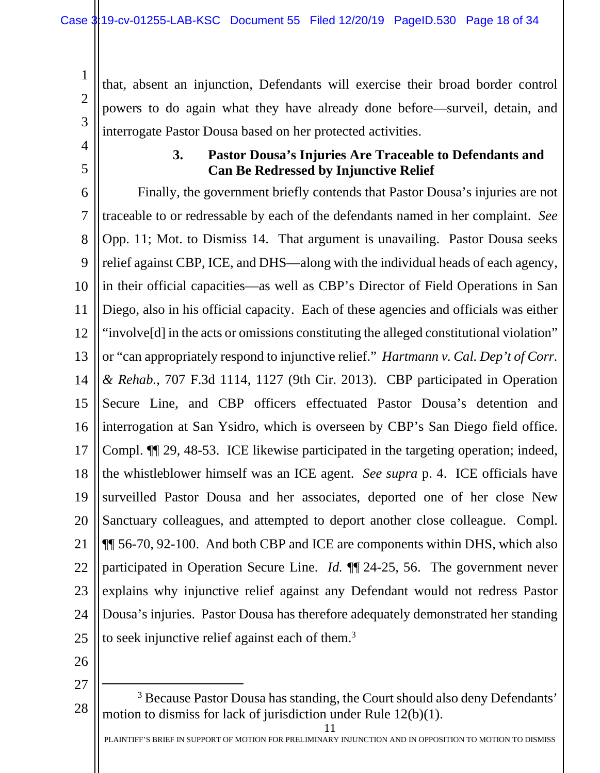that, absent an injunction, Defendants will exercise their broad border control powers to do again what they have already done before—surveil, detain, and interrogate Pastor Dousa based on her protected activities.

<span id="page-17-0"></span>4

5

1

2

3

### <span id="page-17-1"></span>**3. Pastor Dousa's Injuries Are Traceable to Defendants and Can Be Redressed by Injunctive Relief**

6 7 8 9 10 11 12 13 14 15 16 17 18 19 20 21 22 23 24 25 Finally, the government briefly contends that Pastor Dousa's injuries are not traceable to or redressable by each of the defendants named in her complaint. *See* Opp. 11; Mot. to Dismiss 14. That argument is unavailing. Pastor Dousa seeks relief against CBP, ICE, and DHS—along with the individual heads of each agency, in their official capacities—as well as CBP's Director of Field Operations in San Diego, also in his official capacity. Each of these agencies and officials was either "involve[d] in the acts or omissions constituting the alleged constitutional violation" or "can appropriately respond to injunctive relief." *Hartmann v. Cal. Dep't of Corr. & Rehab.*, 707 F.3d 1114, 1127 (9th Cir. 2013). CBP participated in Operation Secure Line, and CBP officers effectuated Pastor Dousa's detention and interrogation at San Ysidro, which is overseen by CBP's San Diego field office. Compl. ¶¶ 29, 48-53. ICE likewise participated in the targeting operation; indeed, the whistleblower himself was an ICE agent. *See supra* p. 4. ICE officials have surveilled Pastor Dousa and her associates, deported one of her close New Sanctuary colleagues, and attempted to deport another close colleague. Compl. ¶¶ 56-70, 92-100. And both CBP and ICE are components within DHS, which also participated in Operation Secure Line. *Id.* ¶¶ 24-25, 56. The government never explains why injunctive relief against any Defendant would not redress Pastor Dousa's injuries. Pastor Dousa has therefore adequately demonstrated her standing to seek injunctive relief against each of them.<sup>3</sup>

- 26
- 27

11

<sup>28</sup> <sup>3</sup> Because Pastor Dousa has standing, the Court should also deny Defendants' motion to dismiss for lack of jurisdiction under Rule 12(b)(1).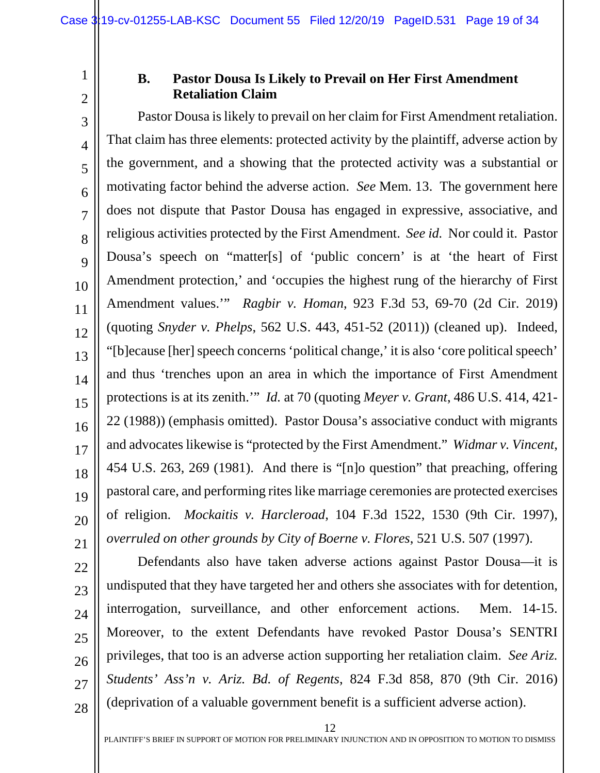## 2

<span id="page-18-0"></span>1

#### **B. Pastor Dousa Is Likely to Prevail on Her First Amendment Retaliation Claim**

<span id="page-18-4"></span>3 4 5 6 7 8 9 10 11 12 13 14 15 16 17 18 19 20 21 Pastor Dousa is likely to prevail on her claim for First Amendment retaliation. That claim has three elements: protected activity by the plaintiff, adverse action by the government, and a showing that the protected activity was a substantial or motivating factor behind the adverse action. *See* Mem. 13. The government here does not dispute that Pastor Dousa has engaged in expressive, associative, and religious activities protected by the First Amendment. *See id.* Nor could it. Pastor Dousa's speech on "matter[s] of 'public concern' is at 'the heart of First Amendment protection,' and 'occupies the highest rung of the hierarchy of First Amendment values.'" *Ragbir v. Homan*, 923 F.3d 53, 69-70 (2d Cir. 2019) (quoting *Snyder v. Phelps*, 562 U.S. 443, 451-52 (2011)) (cleaned up). Indeed, "[b]ecause [her] speech concerns 'political change,' it is also 'core political speech' and thus 'trenches upon an area in which the importance of First Amendment protections is at its zenith.'" *Id.* at 70 (quoting *Meyer v. Grant*, 486 U.S. 414, 421- 22 (1988)) (emphasis omitted). Pastor Dousa's associative conduct with migrants and advocates likewise is "protected by the First Amendment." *Widmar v. Vincent*, 454 U.S. 263, 269 (1981). And there is "[n]o question" that preaching, offering pastoral care, and performing rites like marriage ceremonies are protected exercises of religion. *Mockaitis v. Harcleroad*, 104 F.3d 1522, 1530 (9th Cir. 1997), *overruled on other grounds by City of Boerne v. Flores*, 521 U.S. 507 (1997).

22 23 24

25

26

27 28

<span id="page-18-5"></span><span id="page-18-3"></span><span id="page-18-2"></span><span id="page-18-1"></span>Defendants also have taken adverse actions against Pastor Dousa—it is undisputed that they have targeted her and others she associates with for detention, interrogation, surveillance, and other enforcement actions. Mem. 14-15. Moreover, to the extent Defendants have revoked Pastor Dousa's SENTRI privileges, that too is an adverse action supporting her retaliation claim. *See Ariz. Students' Ass'n v. Ariz. Bd. of Regents*, 824 F.3d 858, 870 (9th Cir. 2016) (deprivation of a valuable government benefit is a sufficient adverse action).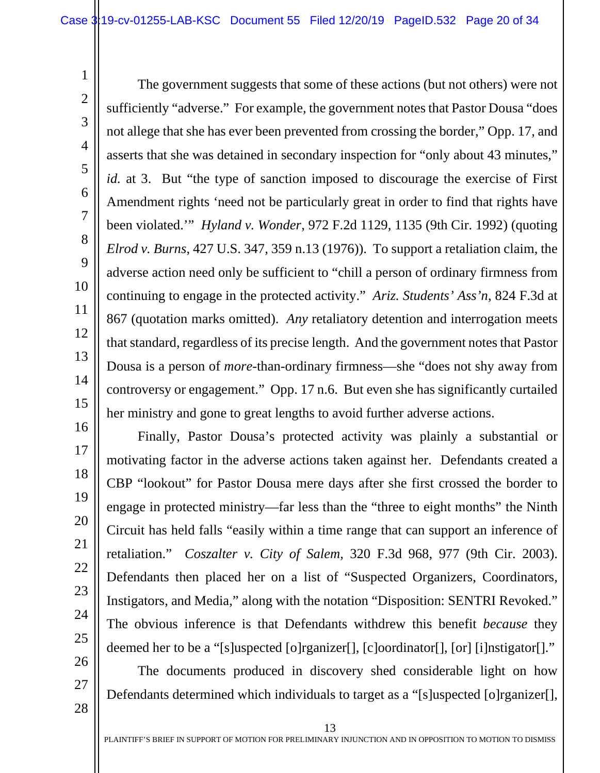The government suggests that some of these actions (but not others) were not sufficiently "adverse." For example, the government notes that Pastor Dousa "does not allege that she has ever been prevented from crossing the border," Opp. 17, and asserts that she was detained in secondary inspection for "only about 43 minutes," *id.* at 3. But "the type of sanction imposed to discourage the exercise of First Amendment rights 'need not be particularly great in order to find that rights have been violated.'" *Hyland v. Wonder*, 972 F.2d 1129, 1135 (9th Cir. 1992) (quoting *Elrod v. Burns*, 427 U.S. 347, 359 n.13 (1976)). To support a retaliation claim, the adverse action need only be sufficient to "chill a person of ordinary firmness from continuing to engage in the protected activity." *Ariz. Students' Ass'n*, 824 F.3d at 867 (quotation marks omitted). *Any* retaliatory detention and interrogation meets that standard, regardless of its precise length. And the government notes that Pastor Dousa is a person of *more*-than-ordinary firmness—she "does not shy away from controversy or engagement." Opp. 17 n.6. But even she has significantly curtailed her ministry and gone to great lengths to avoid further adverse actions.

Finally, Pastor Dousa's protected activity was plainly a substantial or motivating factor in the adverse actions taken against her. Defendants created a CBP "lookout" for Pastor Dousa mere days after she first crossed the border to engage in protected ministry—far less than the "three to eight months" the Ninth Circuit has held falls "easily within a time range that can support an inference of retaliation." *Coszalter v. City of Salem*, 320 F.3d 968, 977 (9th Cir. 2003). Defendants then placed her on a list of "Suspected Organizers, Coordinators, Instigators, and Media," along with the notation "Disposition: SENTRI Revoked." The obvious inference is that Defendants withdrew this benefit *because* they deemed her to be a "[s]uspected [o]rganizer[], [c]oordinator[], [or] [i]nstigator[]."

The documents produced in discovery shed considerable light on how Defendants determined which individuals to target as a "[s]uspected [o]rganizer[],

28

1

2

3

4

5

6

<span id="page-19-2"></span>7

<span id="page-19-1"></span>8

9

10

11

12

13

14

15

16

17

18

19

20

<span id="page-19-0"></span>21

22

23

24

25

26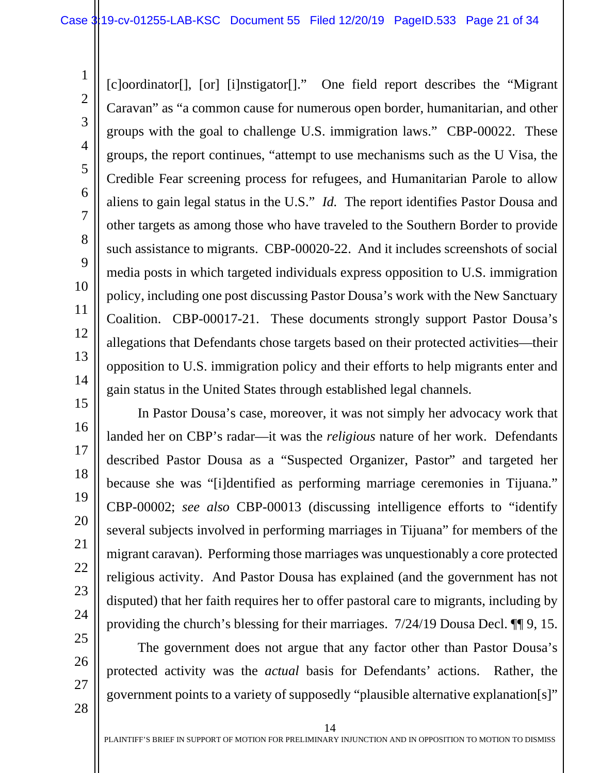1

2

3

4

5

6

7

8

9

10

11

12

13

14

15

16

17

18

19

20

21

22

23

24

25

26

27

28

[c]oordinator[], [or] [i]nstigator[]." One field report describes the "Migrant Caravan" as "a common cause for numerous open border, humanitarian, and other groups with the goal to challenge U.S. immigration laws." CBP-00022. These groups, the report continues, "attempt to use mechanisms such as the U Visa, the Credible Fear screening process for refugees, and Humanitarian Parole to allow aliens to gain legal status in the U.S." *Id.* The report identifies Pastor Dousa and other targets as among those who have traveled to the Southern Border to provide such assistance to migrants. CBP-00020-22. And it includes screenshots of social media posts in which targeted individuals express opposition to U.S. immigration policy, including one post discussing Pastor Dousa's work with the New Sanctuary Coalition. CBP-00017-21. These documents strongly support Pastor Dousa's allegations that Defendants chose targets based on their protected activities—their opposition to U.S. immigration policy and their efforts to help migrants enter and gain status in the United States through established legal channels.

In Pastor Dousa's case, moreover, it was not simply her advocacy work that landed her on CBP's radar—it was the *religious* nature of her work. Defendants described Pastor Dousa as a "Suspected Organizer, Pastor" and targeted her because she was "[i]dentified as performing marriage ceremonies in Tijuana." CBP-00002; *see also* CBP-00013 (discussing intelligence efforts to "identify several subjects involved in performing marriages in Tijuana" for members of the migrant caravan). Performing those marriages was unquestionably a core protected religious activity. And Pastor Dousa has explained (and the government has not disputed) that her faith requires her to offer pastoral care to migrants, including by providing the church's blessing for their marriages. 7/24/19 Dousa Decl. ¶¶ 9, 15.

The government does not argue that any factor other than Pastor Dousa's protected activity was the *actual* basis for Defendants' actions. Rather, the government points to a variety of supposedly "plausible alternative explanation[s]"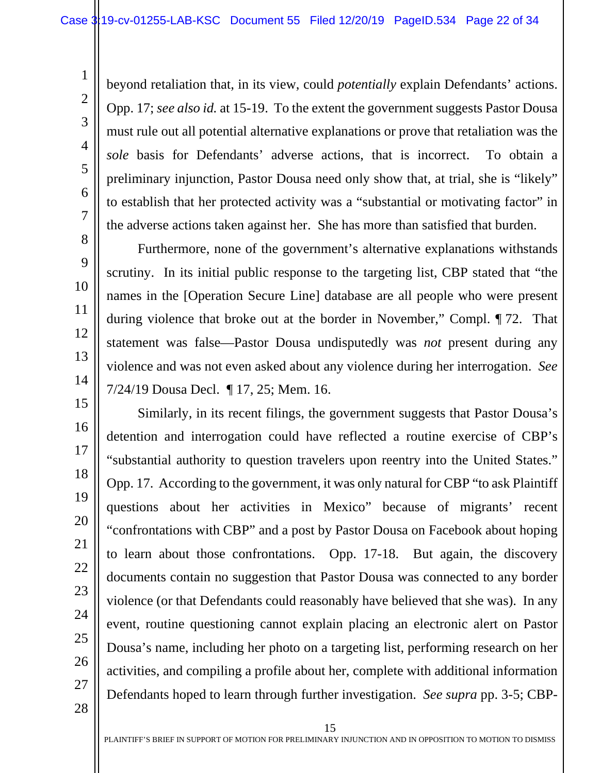beyond retaliation that, in its view, could *potentially* explain Defendants' actions. Opp. 17; *see also id.* at 15-19. To the extent the government suggests Pastor Dousa must rule out all potential alternative explanations or prove that retaliation was the *sole* basis for Defendants' adverse actions, that is incorrect. To obtain a preliminary injunction, Pastor Dousa need only show that, at trial, she is "likely" to establish that her protected activity was a "substantial or motivating factor" in the adverse actions taken against her. She has more than satisfied that burden.

Furthermore, none of the government's alternative explanations withstands scrutiny. In its initial public response to the targeting list, CBP stated that "the names in the [Operation Secure Line] database are all people who were present during violence that broke out at the border in November," Compl. ¶ 72. That statement was false—Pastor Dousa undisputedly was *not* present during any violence and was not even asked about any violence during her interrogation. *See* 7/24/19 Dousa Decl. ¶ 17, 25; Mem. 16.

Similarly, in its recent filings, the government suggests that Pastor Dousa's detention and interrogation could have reflected a routine exercise of CBP's "substantial authority to question travelers upon reentry into the United States." Opp. 17. According to the government, it was only natural for CBP "to ask Plaintiff questions about her activities in Mexico" because of migrants' recent "confrontations with CBP" and a post by Pastor Dousa on Facebook about hoping to learn about those confrontations. Opp. 17-18. But again, the discovery documents contain no suggestion that Pastor Dousa was connected to any border violence (or that Defendants could reasonably have believed that she was). In any event, routine questioning cannot explain placing an electronic alert on Pastor Dousa's name, including her photo on a targeting list, performing research on her activities, and compiling a profile about her, complete with additional information Defendants hoped to learn through further investigation. *See supra* pp. 3-5; CBP-

28

1

2

3

4

5

6

7

8

9

10

11

12

13

14

15

16

17

18

19

20

21

22

23

24

25

26

27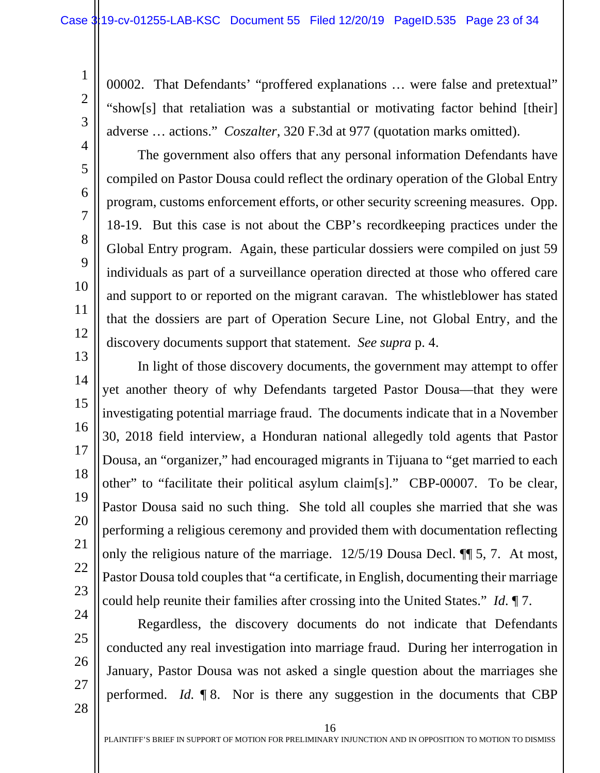00002. That Defendants' "proffered explanations … were false and pretextual" "show[s] that retaliation was a substantial or motivating factor behind [their] adverse … actions." *Coszalter*, 320 F.3d at 977 (quotation marks omitted).

<span id="page-22-0"></span>The government also offers that any personal information Defendants have compiled on Pastor Dousa could reflect the ordinary operation of the Global Entry program, customs enforcement efforts, or other security screening measures. Opp. 18-19. But this case is not about the CBP's recordkeeping practices under the Global Entry program. Again, these particular dossiers were compiled on just 59 individuals as part of a surveillance operation directed at those who offered care and support to or reported on the migrant caravan. The whistleblower has stated that the dossiers are part of Operation Secure Line, not Global Entry, and the discovery documents support that statement. *See supra* p. 4.

13 14 15 16 17 18 19 20 21 22 23 24 In light of those discovery documents, the government may attempt to offer yet another theory of why Defendants targeted Pastor Dousa—that they were investigating potential marriage fraud. The documents indicate that in a November 30, 2018 field interview, a Honduran national allegedly told agents that Pastor Dousa, an "organizer," had encouraged migrants in Tijuana to "get married to each other" to "facilitate their political asylum claim[s]." CBP-00007. To be clear, Pastor Dousa said no such thing. She told all couples she married that she was performing a religious ceremony and provided them with documentation reflecting only the religious nature of the marriage. 12/5/19 Dousa Decl. ¶¶ 5, 7. At most, Pastor Dousa told couples that "a certificate, in English, documenting their marriage could help reunite their families after crossing into the United States." *Id.* ¶ 7.

25 26

1

2

3

4

5

6

7

8

9

10

11

12

27 28

Regardless, the discovery documents do not indicate that Defendants conducted any real investigation into marriage fraud. During her interrogation in January, Pastor Dousa was not asked a single question about the marriages she performed. *Id.* ¶ 8. Nor is there any suggestion in the documents that CBP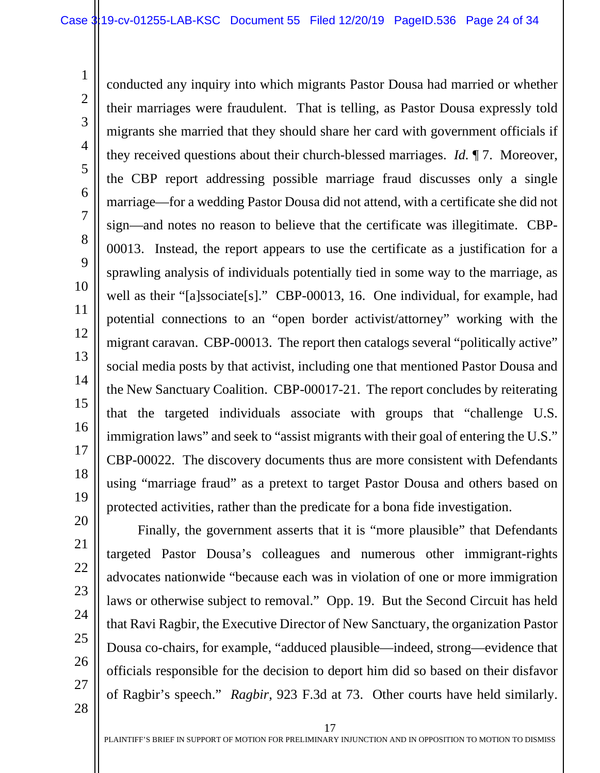conducted any inquiry into which migrants Pastor Dousa had married or whether their marriages were fraudulent. That is telling, as Pastor Dousa expressly told migrants she married that they should share her card with government officials if they received questions about their church-blessed marriages. *Id.* ¶ 7. Moreover, the CBP report addressing possible marriage fraud discusses only a single marriage—for a wedding Pastor Dousa did not attend, with a certificate she did not sign—and notes no reason to believe that the certificate was illegitimate. CBP-00013. Instead, the report appears to use the certificate as a justification for a sprawling analysis of individuals potentially tied in some way to the marriage, as well as their "[a]ssociate[s]." CBP-00013, 16. One individual, for example, had potential connections to an "open border activist/attorney" working with the migrant caravan. CBP-00013. The report then catalogs several "politically active" social media posts by that activist, including one that mentioned Pastor Dousa and the New Sanctuary Coalition. CBP-00017-21. The report concludes by reiterating that the targeted individuals associate with groups that "challenge U.S. immigration laws" and seek to "assist migrants with their goal of entering the U.S." CBP-00022. The discovery documents thus are more consistent with Defendants using "marriage fraud" as a pretext to target Pastor Dousa and others based on protected activities, rather than the predicate for a bona fide investigation.

1

2

3

4

5

6

7

8

9

10

11

12

13

14

15

16

17

18

19

20

<span id="page-23-0"></span>Finally, the government asserts that it is "more plausible" that Defendants targeted Pastor Dousa's colleagues and numerous other immigrant-rights advocates nationwide "because each was in violation of one or more immigration laws or otherwise subject to removal." Opp. 19. But the Second Circuit has held that Ravi Ragbir, the Executive Director of New Sanctuary, the organization Pastor Dousa co-chairs, for example, "adduced plausible—indeed, strong—evidence that officials responsible for the decision to deport him did so based on their disfavor of Ragbir's speech." *Ragbir*, 923 F.3d at 73. Other courts have held similarly.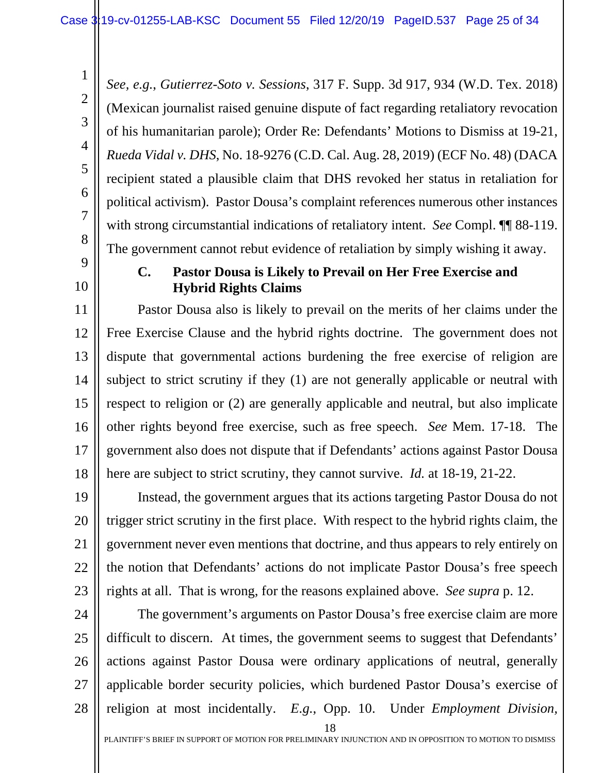<span id="page-24-2"></span>*See, e.g.*, *Gutierrez-Soto v. Sessions*, 317 F. Supp. 3d 917, 934 (W.D. Tex. 2018) (Mexican journalist raised genuine dispute of fact regarding retaliatory revocation of his humanitarian parole); Order Re: Defendants' Motions to Dismiss at 19-21, *Rueda Vidal v. DHS*, No. 18-9276 (C.D. Cal. Aug. 28, 2019) (ECF No. 48) (DACA recipient stated a plausible claim that DHS revoked her status in retaliation for political activism). Pastor Dousa's complaint references numerous other instances with strong circumstantial indications of retaliatory intent. *See* Compl. ¶¶ 88-119. The government cannot rebut evidence of retaliation by simply wishing it away.

# <span id="page-24-0"></span>9

1

2

3

<span id="page-24-3"></span>4

5

6

7

8

10

#### **C. Pastor Dousa is Likely to Prevail on Her Free Exercise and Hybrid Rights Claims**

11 12 13 14 15 16 17 18 Pastor Dousa also is likely to prevail on the merits of her claims under the Free Exercise Clause and the hybrid rights doctrine. The government does not dispute that governmental actions burdening the free exercise of religion are subject to strict scrutiny if they (1) are not generally applicable or neutral with respect to religion or (2) are generally applicable and neutral, but also implicate other rights beyond free exercise, such as free speech. *See* Mem. 17-18. The government also does not dispute that if Defendants' actions against Pastor Dousa here are subject to strict scrutiny, they cannot survive. *Id.* at 18-19, 21-22.

19 20 21 22 23 Instead, the government argues that its actions targeting Pastor Dousa do not trigger strict scrutiny in the first place. With respect to the hybrid rights claim, the government never even mentions that doctrine, and thus appears to rely entirely on the notion that Defendants' actions do not implicate Pastor Dousa's free speech rights at all. That is wrong, for the reasons explained above. *See supra* p. 12.

<span id="page-24-1"></span>18 24 25 26 27 28 The government's arguments on Pastor Dousa's free exercise claim are more difficult to discern. At times, the government seems to suggest that Defendants' actions against Pastor Dousa were ordinary applications of neutral, generally applicable border security policies, which burdened Pastor Dousa's exercise of religion at most incidentally. *E.g.*, Opp. 10. Under *Employment Division,*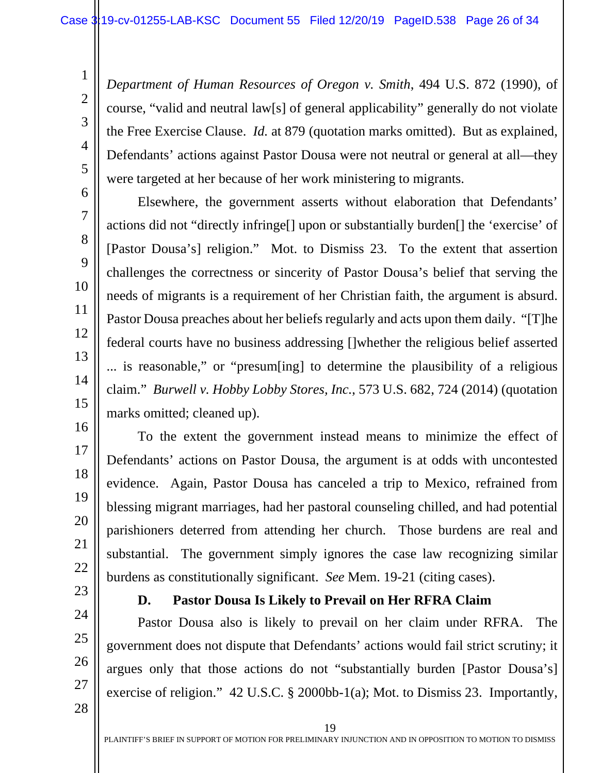*Department of Human Resources of Oregon v. Smith*, 494 U.S. 872 (1990), of course, "valid and neutral law[s] of general applicability" generally do not violate the Free Exercise Clause. *Id.* at 879 (quotation marks omitted). But as explained, Defendants' actions against Pastor Dousa were not neutral or general at all—they were targeted at her because of her work ministering to migrants.

Elsewhere, the government asserts without elaboration that Defendants' actions did not "directly infringe[] upon or substantially burden[] the 'exercise' of [Pastor Dousa's] religion." Mot. to Dismiss 23. To the extent that assertion challenges the correctness or sincerity of Pastor Dousa's belief that serving the needs of migrants is a requirement of her Christian faith, the argument is absurd. Pastor Dousa preaches about her beliefs regularly and acts upon them daily. "[T]he federal courts have no business addressing []whether the religious belief asserted ... is reasonable," or "presum[ing] to determine the plausibility of a religious claim." *Burwell v. Hobby Lobby Stores, Inc.*, 573 U.S. 682, 724 (2014) (quotation marks omitted; cleaned up).

To the extent the government instead means to minimize the effect of Defendants' actions on Pastor Dousa, the argument is at odds with uncontested evidence. Again, Pastor Dousa has canceled a trip to Mexico, refrained from blessing migrant marriages, had her pastoral counseling chilled, and had potential parishioners deterred from attending her church. Those burdens are real and substantial. The government simply ignores the case law recognizing similar burdens as constitutionally significant. *See* Mem. 19-21 (citing cases).

<span id="page-25-0"></span>23 24

25

26

1

2

3

4

5

6

7

8

9

10

11

12

13

<span id="page-25-1"></span>14

15

16

17

18

19

20

21

22

#### <span id="page-25-2"></span>**D. Pastor Dousa Is Likely to Prevail on Her RFRA Claim**

Pastor Dousa also is likely to prevail on her claim under RFRA. The government does not dispute that Defendants' actions would fail strict scrutiny; it argues only that those actions do not "substantially burden [Pastor Dousa's] exercise of religion." 42 U.S.C. § 2000bb-1(a); Mot. to Dismiss 23. Importantly,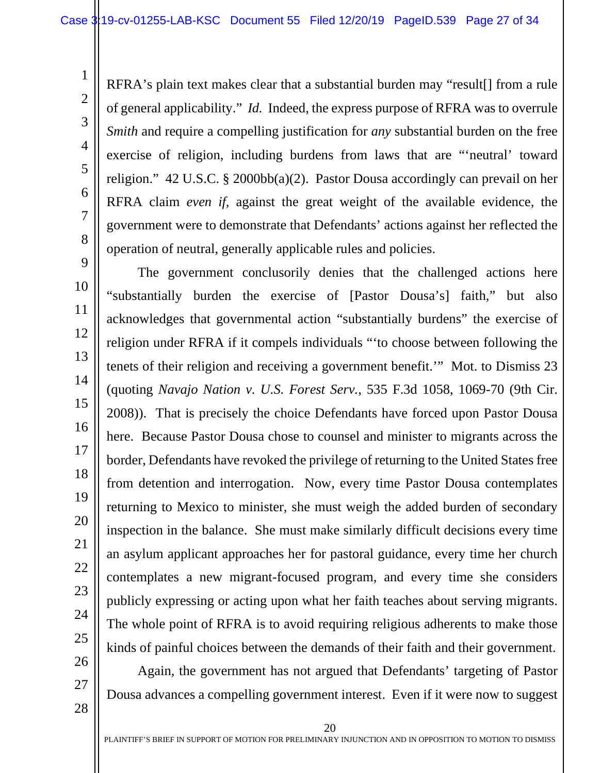RFRA's plain text makes clear that a substantial burden may "result[] from a rule of general applicability." *Id.* Indeed, the express purpose of RFRA was to overrule *Smith* and require a compelling justification for *any* substantial burden on the free exercise of religion, including burdens from laws that are "'neutral' toward religion." 42 U.S.C. § 2000bb(a)(2). Pastor Dousa accordingly can prevail on her RFRA claim *even if*, against the great weight of the available evidence, the government were to demonstrate that Defendants' actions against her reflected the operation of neutral, generally applicable rules and policies.

The government conclusorily denies that the challenged actions here "substantially burden the exercise of [Pastor Dousa's] faith," but also acknowledges that governmental action "substantially burdens" the exercise of religion under RFRA if it compels individuals "'to choose between following the tenets of their religion and receiving a government benefit.'" Mot. to Dismiss 23 (quoting *Navajo Nation v. U.S. Forest Serv.*, 535 F.3d 1058, 1069-70 (9th Cir. 2008)). That is precisely the choice Defendants have forced upon Pastor Dousa here. Because Pastor Dousa chose to counsel and minister to migrants across the border, Defendants have revoked the privilege of returning to the United States free from detention and interrogation. Now, every time Pastor Dousa contemplates returning to Mexico to minister, she must weigh the added burden of secondary inspection in the balance. She must make similarly difficult decisions every time an asylum applicant approaches her for pastoral guidance, every time her church contemplates a new migrant-focused program, and every time she considers publicly expressing or acting upon what her faith teaches about serving migrants. The whole point of RFRA is to avoid requiring religious adherents to make those kinds of painful choices between the demands of their faith and their government.

27

28

26

1

2

<span id="page-26-0"></span>3

4

<span id="page-26-2"></span>5

6

7

8

9

10

11

12

13

<span id="page-26-1"></span>14

15

16

17

18

19

20

21

22

23

24

25

Again, the government has not argued that Defendants' targeting of Pastor Dousa advances a compelling government interest. Even if it were now to suggest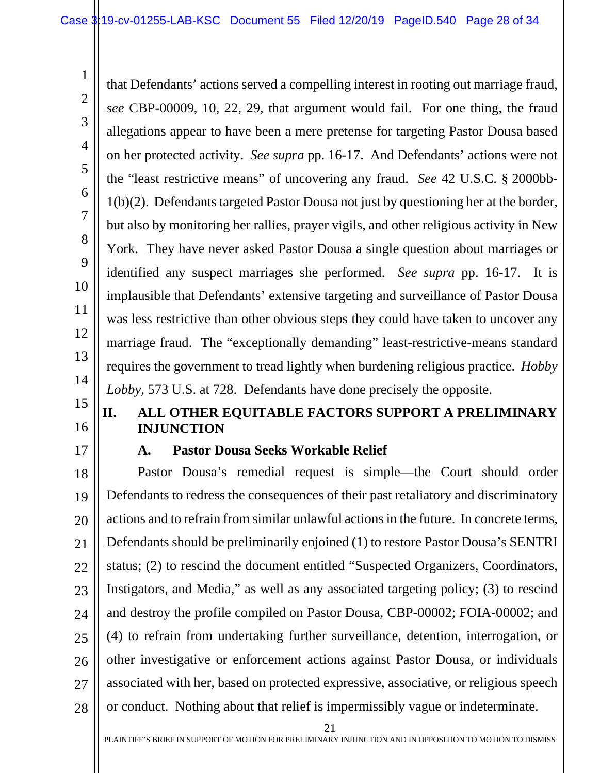<span id="page-27-3"></span>that Defendants' actions served a compelling interest in rooting out marriage fraud, *see* CBP-00009, 10, 22, 29, that argument would fail. For one thing, the fraud allegations appear to have been a mere pretense for targeting Pastor Dousa based on her protected activity. *See supra* pp. 16-17. And Defendants' actions were not the "least restrictive means" of uncovering any fraud. *See* 42 U.S.C. § 2000bb-1(b)(2). Defendants targeted Pastor Dousa not just by questioning her at the border, but also by monitoring her rallies, prayer vigils, and other religious activity in New York. They have never asked Pastor Dousa a single question about marriages or identified any suspect marriages she performed. *See supra* pp. 16-17. It is implausible that Defendants' extensive targeting and surveillance of Pastor Dousa was less restrictive than other obvious steps they could have taken to uncover any marriage fraud. The "exceptionally demanding" least-restrictive-means standard requires the government to tread lightly when burdening religious practice. *Hobby Lobby*, 573 U.S. at 728. Defendants have done precisely the opposite.

# 15 16

1

2

3

4

5

6

7

8

9

10

11

12

13

14

### <span id="page-27-0"></span>**II. ALL OTHER EQUITABLE FACTORS SUPPORT A PRELIMINARY INJUNCTION**

<span id="page-27-1"></span>17

#### <span id="page-27-2"></span>**A. Pastor Dousa Seeks Workable Relief**

18 19 20 21 22 23 24 25 26 27 28 Pastor Dousa's remedial request is simple—the Court should order Defendants to redress the consequences of their past retaliatory and discriminatory actions and to refrain from similar unlawful actions in the future. In concrete terms, Defendants should be preliminarily enjoined (1) to restore Pastor Dousa's SENTRI status; (2) to rescind the document entitled "Suspected Organizers, Coordinators, Instigators, and Media," as well as any associated targeting policy; (3) to rescind and destroy the profile compiled on Pastor Dousa, CBP-00002; FOIA-00002; and (4) to refrain from undertaking further surveillance, detention, interrogation, or other investigative or enforcement actions against Pastor Dousa, or individuals associated with her, based on protected expressive, associative, or religious speech or conduct. Nothing about that relief is impermissibly vague or indeterminate.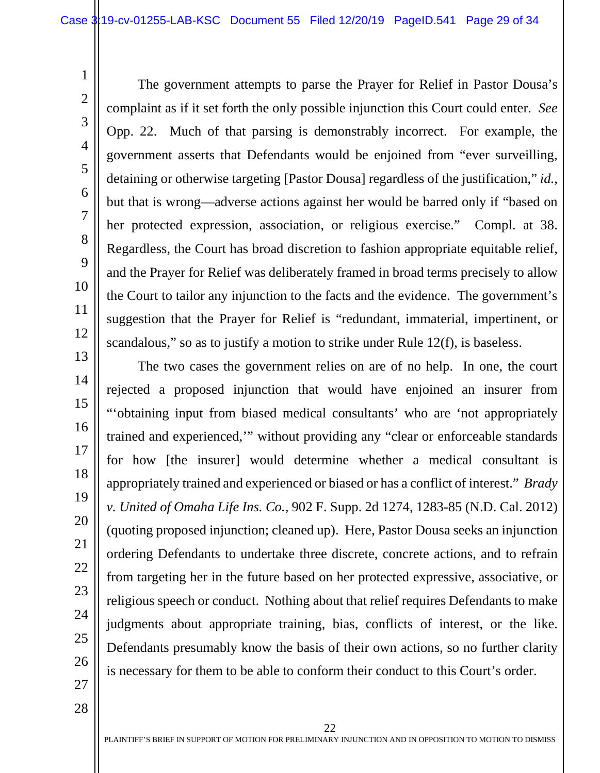7

8

9

10

11

12

13

14

15

16

17

18

19

20

21

22

23

24

25

26

1

The government attempts to parse the Prayer for Relief in Pastor Dousa's complaint as if it set forth the only possible injunction this Court could enter. *See* Opp. 22. Much of that parsing is demonstrably incorrect. For example, the government asserts that Defendants would be enjoined from "ever surveilling, detaining or otherwise targeting [Pastor Dousa] regardless of the justification," *id.*, but that is wrong—adverse actions against her would be barred only if "based on her protected expression, association, or religious exercise." Compl. at 38. Regardless, the Court has broad discretion to fashion appropriate equitable relief, and the Prayer for Relief was deliberately framed in broad terms precisely to allow the Court to tailor any injunction to the facts and the evidence. The government's suggestion that the Prayer for Relief is "redundant, immaterial, impertinent, or scandalous," so as to justify a motion to strike under Rule 12(f), is baseless.

<span id="page-28-0"></span>The two cases the government relies on are of no help. In one, the court rejected a proposed injunction that would have enjoined an insurer from "'obtaining input from biased medical consultants' who are 'not appropriately trained and experienced,'" without providing any "clear or enforceable standards for how [the insurer] would determine whether a medical consultant is appropriately trained and experienced or biased or has a conflict of interest." *Brady v. United of Omaha Life Ins. Co.*, 902 F. Supp. 2d 1274, 1283-85 (N.D. Cal. 2012) (quoting proposed injunction; cleaned up). Here, Pastor Dousa seeks an injunction ordering Defendants to undertake three discrete, concrete actions, and to refrain from targeting her in the future based on her protected expressive, associative, or religious speech or conduct. Nothing about that relief requires Defendants to make judgments about appropriate training, bias, conflicts of interest, or the like. Defendants presumably know the basis of their own actions, so no further clarity is necessary for them to be able to conform their conduct to this Court's order.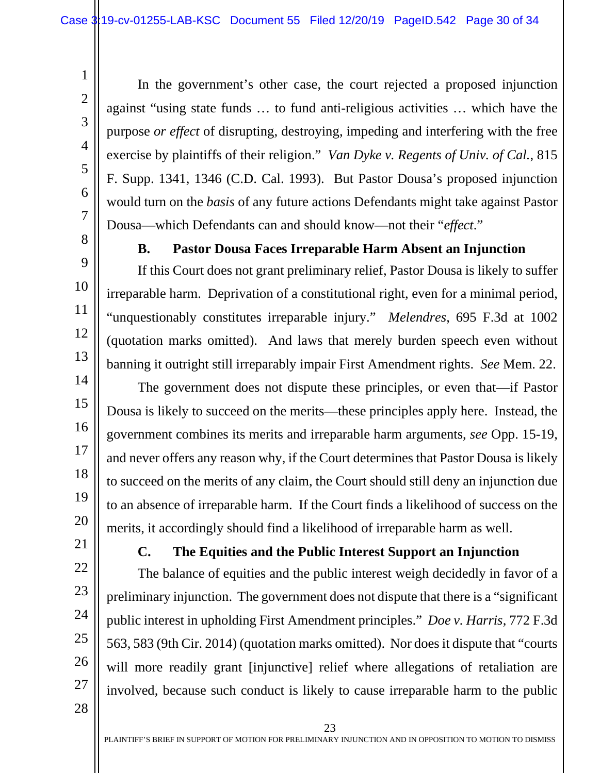In the government's other case, the court rejected a proposed injunction against "using state funds … to fund anti-religious activities … which have the purpose *or effect* of disrupting, destroying, impeding and interfering with the free exercise by plaintiffs of their religion." *Van Dyke v. Regents of Univ. of Cal.*, 815 F. Supp. 1341, 1346 (C.D. Cal. 1993). But Pastor Dousa's proposed injunction would turn on the *basis* of any future actions Defendants might take against Pastor Dousa—which Defendants can and should know—not their "*effect*."

<span id="page-29-0"></span>8

1

2

3

4

5

6

7

9

10

11

12

13

14

15

16

17

18

19

20

#### <span id="page-29-4"></span><span id="page-29-3"></span>**B. Pastor Dousa Faces Irreparable Harm Absent an Injunction**

If this Court does not grant preliminary relief, Pastor Dousa is likely to suffer irreparable harm. Deprivation of a constitutional right, even for a minimal period, "unquestionably constitutes irreparable injury." *Melendres*, 695 F.3d at 1002 (quotation marks omitted). And laws that merely burden speech even without banning it outright still irreparably impair First Amendment rights. *See* Mem. 22.

The government does not dispute these principles, or even that—if Pastor Dousa is likely to succeed on the merits—these principles apply here. Instead, the government combines its merits and irreparable harm arguments, *see* Opp. 15-19, and never offers any reason why, if the Court determines that Pastor Dousa is likely to succeed on the merits of any claim, the Court should still deny an injunction due to an absence of irreparable harm. If the Court finds a likelihood of success on the merits, it accordingly should find a likelihood of irreparable harm as well.

<span id="page-29-1"></span>21 22

23

24

25

26

27

#### <span id="page-29-2"></span>**C. The Equities and the Public Interest Support an Injunction**

The balance of equities and the public interest weigh decidedly in favor of a preliminary injunction. The government does not dispute that there is a "significant public interest in upholding First Amendment principles." *Doe v. Harris*, 772 F.3d 563, 583 (9th Cir. 2014) (quotation marks omitted). Nor does it dispute that "courts will more readily grant [injunctive] relief where allegations of retaliation are involved, because such conduct is likely to cause irreparable harm to the public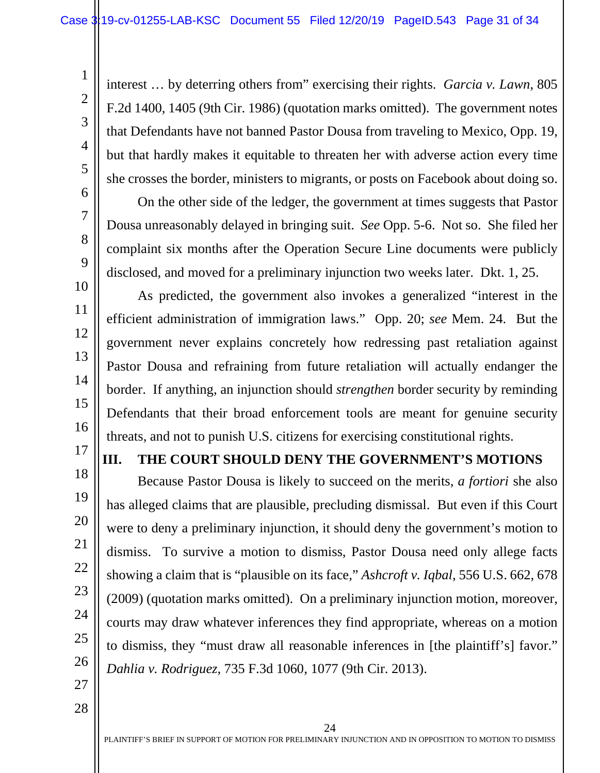<span id="page-30-3"></span>interest … by deterring others from" exercising their rights. *Garcia v. Lawn*, 805 F.2d 1400, 1405 (9th Cir. 1986) (quotation marks omitted). The government notes that Defendants have not banned Pastor Dousa from traveling to Mexico, Opp. 19, but that hardly makes it equitable to threaten her with adverse action every time she crosses the border, ministers to migrants, or posts on Facebook about doing so.

On the other side of the ledger, the government at times suggests that Pastor Dousa unreasonably delayed in bringing suit. *See* Opp. 5-6. Not so. She filed her complaint six months after the Operation Secure Line documents were publicly disclosed, and moved for a preliminary injunction two weeks later. Dkt. 1, 25.

As predicted, the government also invokes a generalized "interest in the efficient administration of immigration laws." Opp. 20; *see* Mem. 24. But the government never explains concretely how redressing past retaliation against Pastor Dousa and refraining from future retaliation will actually endanger the border. If anything, an injunction should *strengthen* border security by reminding Defendants that their broad enforcement tools are meant for genuine security threats, and not to punish U.S. citizens for exercising constitutional rights.

#### <span id="page-30-0"></span>**III. THE COURT SHOULD DENY THE GOVERNMENT'S MOTIONS**

<span id="page-30-1"></span>Because Pastor Dousa is likely to succeed on the merits, *a fortiori* she also has alleged claims that are plausible, precluding dismissal. But even if this Court were to deny a preliminary injunction, it should deny the government's motion to dismiss. To survive a motion to dismiss, Pastor Dousa need only allege facts showing a claim that is "plausible on its face," *Ashcroft v. Iqbal*, 556 U.S. 662, 678 (2009) (quotation marks omitted). On a preliminary injunction motion, moreover, courts may draw whatever inferences they find appropriate, whereas on a motion to dismiss, they "must draw all reasonable inferences in [the plaintiff's] favor." *Dahlia v. Rodriguez*, 735 F.3d 1060, 1077 (9th Cir. 2013).

27

1

2

3

4

5

6

7

8

9

10

11

12

13

14

15

16

17

18

19

20

21

22

23

24

25

<span id="page-30-2"></span>26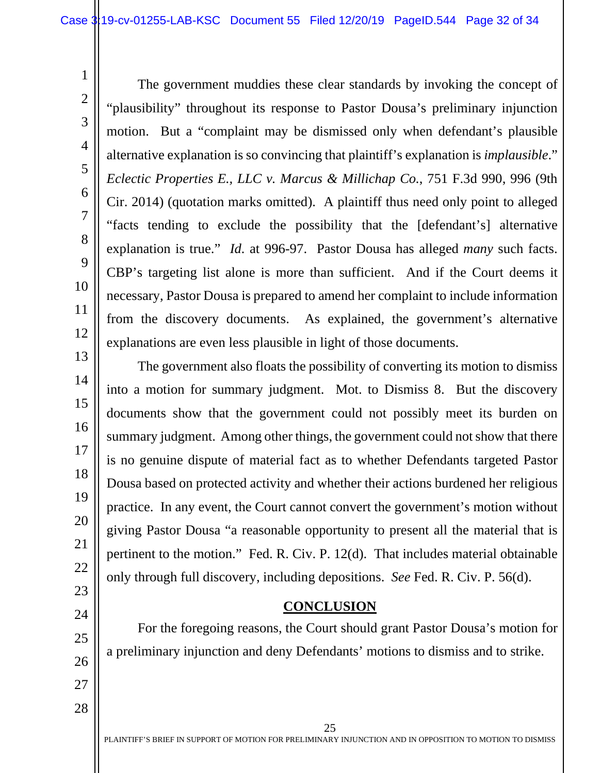The government muddies these clear standards by invoking the concept of "plausibility" throughout its response to Pastor Dousa's preliminary injunction motion. But a "complaint may be dismissed only when defendant's plausible alternative explanation is so convincing that plaintiff's explanation is *implausible*." *Eclectic Properties E., LLC v. Marcus & Millichap Co.*, 751 F.3d 990, 996 (9th Cir. 2014) (quotation marks omitted). A plaintiff thus need only point to alleged "facts tending to exclude the possibility that the [defendant's] alternative explanation is true." *Id.* at 996-97. Pastor Dousa has alleged *many* such facts. CBP's targeting list alone is more than sufficient. And if the Court deems it necessary, Pastor Dousa is prepared to amend her complaint to include information from the discovery documents. As explained, the government's alternative explanations are even less plausible in light of those documents.

The government also floats the possibility of converting its motion to dismiss into a motion for summary judgment. Mot. to Dismiss 8. But the discovery documents show that the government could not possibly meet its burden on summary judgment. Among other things, the government could not show that there is no genuine dispute of material fact as to whether Defendants targeted Pastor Dousa based on protected activity and whether their actions burdened her religious practice. In any event, the Court cannot convert the government's motion without giving Pastor Dousa "a reasonable opportunity to present all the material that is pertinent to the motion." Fed. R. Civ. P. 12(d). That includes material obtainable only through full discovery, including depositions. *See* Fed. R. Civ. P. 56(d).

#### <span id="page-31-3"></span><span id="page-31-2"></span>**CONCLUSION**

<span id="page-31-0"></span>For the foregoing reasons, the Court should grant Pastor Dousa's motion for a preliminary injunction and deny Defendants' motions to dismiss and to strike.

28

1

2

3

4

<span id="page-31-1"></span>5

6

7

8

9

10

11

12

13

14

15

16

17

18

19

20

21

22

23

24

25

26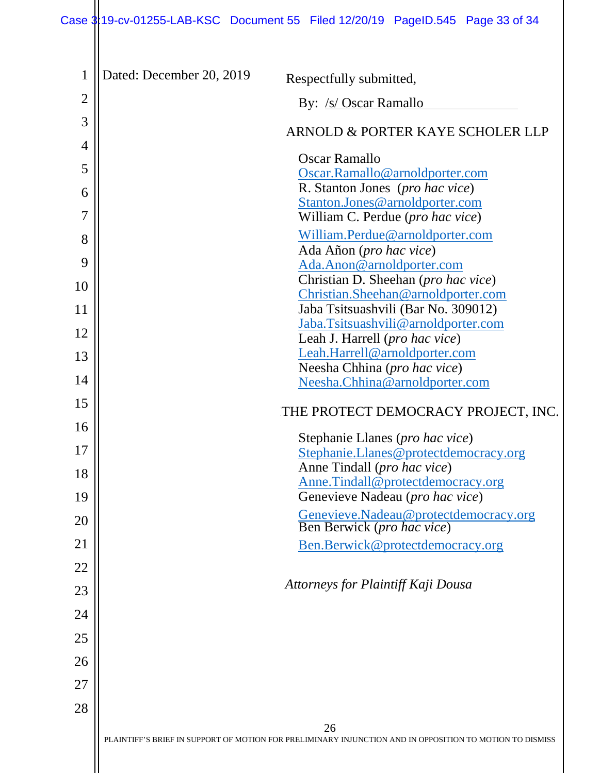# Case 3:19-cv-01255-LAB-KSC Document 55 Filed 12/20/19 PageID.545 Page 33 of 34

| $\mathbf 1$    | Dated: December 20, 2019<br>Respectfully submitted,                                                            |
|----------------|----------------------------------------------------------------------------------------------------------------|
| $\overline{2}$ | By: /s/ Oscar Ramallo                                                                                          |
| 3              | ARNOLD & PORTER KAYE SCHOLER LLP                                                                               |
| 4              | Oscar Ramallo                                                                                                  |
| 5              | Oscar.Ramallo@arnoldporter.com                                                                                 |
| 6              | R. Stanton Jones (pro hac vice)                                                                                |
| $\overline{7}$ | Stanton.Jones@arnoldporter.com<br>William C. Perdue (pro hac vice)                                             |
| 8              | William.Perdue@arnoldporter.com                                                                                |
| 9              | Ada Añon (pro hac vice)<br>Ada.Anon@arnoldporter.com                                                           |
| 10             | Christian D. Sheehan (pro hac vice)                                                                            |
| 11             | Christian.Sheehan@arnoldporter.com<br>Jaba Tsitsuashvili (Bar No. 309012)                                      |
| 12             | Jaba.Tsitsuashvili@arnoldporter.com<br>Leah J. Harrell ( <i>pro hac vice</i> )                                 |
| 13             | Leah.Harrell@arnoldporter.com                                                                                  |
| 14             | Neesha Chhina (pro hac vice)                                                                                   |
|                | Neesha.Chhina@arnoldporter.com                                                                                 |
| 15<br>16       | THE PROTECT DEMOCRACY PROJECT, INC.                                                                            |
|                | Stephanie Llanes (pro hac vice)                                                                                |
| 17             | Stephanie.Llanes@protectdemocracy.org<br>Anne Tindall (pro hac vice)                                           |
| 18             | Anne.Tindall@protectdemocracy.org                                                                              |
| 19             | Genevieve Nadeau (pro hac vice)                                                                                |
| 20             | Genevieve.Nadeau@protectdemocracy.org<br>Ben Berwick (pro hac vice)                                            |
| 21             | Ben.Berwick@protectdemocracy.org                                                                               |
| 22             |                                                                                                                |
| 23             | Attorneys for Plaintiff Kaji Dousa                                                                             |
| 24             |                                                                                                                |
| 25             |                                                                                                                |
| 26             |                                                                                                                |
| 27             |                                                                                                                |
| 28             |                                                                                                                |
|                | 26<br>PLAINTIFF'S BRIEF IN SUPPORT OF MOTION FOR PRELIMINARY INJUNCTION AND IN OPPOSITION TO MOTION TO DISMISS |